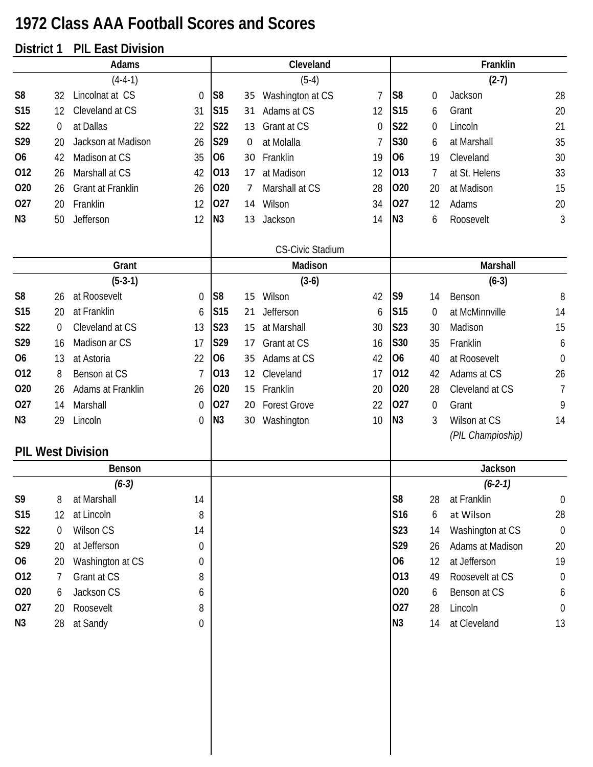## **1972 Class AAA Football Scores and Scores**

## **District 1 PIL East Division**

|                |                  | Adams                    |                  |                 |    | Cleveland               |          |                 |                | Franklin                          |                  |
|----------------|------------------|--------------------------|------------------|-----------------|----|-------------------------|----------|-----------------|----------------|-----------------------------------|------------------|
|                |                  | $(4-4-1)$                |                  |                 |    | $(5-4)$                 |          |                 |                | $(2-7)$                           |                  |
| S <sub>8</sub> | 32               | Lincolnat at CS          | 0                | S <sub>8</sub>  | 35 | Washington at CS        | 7        | S <sub>8</sub>  | $\mathbf 0$    | Jackson                           | 28               |
| <b>S15</b>     | 12               | Cleveland at CS          | 31               | S <sub>15</sub> | 31 | Adams at CS             | 12       | S <sub>15</sub> | 6              | Grant                             | 20               |
| S22            | $\boldsymbol{0}$ | at Dallas                | 22               | S22             | 13 | Grant at CS             | $\Omega$ | <b>S22</b>      | 0              | Lincoln                           | 21               |
| S29            | 20               | Jackson at Madison       | 26               | S29             | 0  | at Molalla              | 7        | S30             | 6              | at Marshall                       | 35               |
| O <sub>6</sub> | 42               | Madison at CS            | 35               | <b>O6</b>       | 30 | Franklin                | 19       | O <sub>6</sub>  | 19             | Cleveland                         | 30               |
| 012            | 26               | Marshall at CS           | 42               | 013             | 17 | at Madison              | 12       | 013             | 7              | at St. Helens                     | 33               |
| 020            | 26               | Grant at Franklin        | 26               | 020             | 7  | Marshall at CS          | 28       | 020             | 20             | at Madison                        | 15               |
| 027            | 20               | Franklin                 | 12               | 027             | 14 | Wilson                  | 34       | 027             | 12             | Adams                             | 20               |
| N <sub>3</sub> | 50               | Jefferson                | 12               | N3              | 13 | Jackson                 | 14       | N3              | 6              | Roosevelt                         | 3                |
|                |                  |                          |                  |                 |    | <b>CS-Civic Stadium</b> |          |                 |                |                                   |                  |
|                |                  | Grant                    |                  |                 |    | Madison                 |          |                 |                | Marshall                          |                  |
|                |                  | $(5-3-1)$                |                  |                 |    | $(3-6)$                 |          |                 |                | $(6-3)$                           |                  |
| S <sub>8</sub> | 26               | at Roosevelt             | $\boldsymbol{0}$ | S <sub>8</sub>  | 15 | Wilson                  | 42       | S <sub>9</sub>  | 14             | Benson                            | 8                |
| <b>S15</b>     | 20               | at Franklin              | 6                | S <sub>15</sub> | 21 | Jefferson               | 6        | <b>S15</b>      | 0              | at McMinnville                    | 14               |
| S22            | $\theta$         | Cleveland at CS          | 13               | S <sub>23</sub> | 15 | at Marshall             | 30       | S23             | 30             | Madison                           | 15               |
| S29            | 16               | Madison ar CS            | 17               | S29             | 17 | Grant at CS             | 16       | S30             | 35             | Franklin                          | 6                |
| O <sub>6</sub> | 13               | at Astoria               | 22               | <b>O6</b>       | 35 | Adams at CS             | 42       | <b>O6</b>       | 40             | at Roosevelt                      | $\mathbf 0$      |
| 012            | 8                | Benson at CS             | 7                | 013             | 12 | Cleveland               | 17       | 012             | 42             | Adams at CS                       | 26               |
| 020            | 26               | Adams at Franklin        | 26               | 020             | 15 | Franklin                | 20       | 020             | 28             | Cleveland at CS                   | $\overline{7}$   |
| 027            | 14               | Marshall                 | $\overline{0}$   | 027             | 20 | <b>Forest Grove</b>     | 22       | 027             | $\overline{0}$ | Grant                             | 9                |
| N <sub>3</sub> | 29               | Lincoln                  | 0                | N3              | 30 | Washington              | 10       | N3              | 3              | Wilson at CS<br>(PIL Champioship) | 14               |
|                |                  | <b>PIL West Division</b> |                  |                 |    |                         |          |                 |                |                                   |                  |
|                |                  | Benson                   |                  |                 |    |                         |          |                 |                | Jackson                           |                  |
|                |                  | $(6-3)$                  |                  |                 |    |                         |          |                 |                | $(6-2-1)$                         |                  |
| S9             | 8                | at Marshall              | 14               |                 |    |                         |          | S <sub>8</sub>  | 28             | at Franklin                       | $\boldsymbol{0}$ |
| S15            | 12               | at Lincoln               | 8                |                 |    |                         |          | S16             | 6              | at Wilson                         | 28               |
| <b>S22</b>     | 0                | Wilson CS                | 14               |                 |    |                         |          | S <sub>23</sub> | 14             | Washington at CS                  | $\mathbf 0$      |
| S29            | 20               | at Jefferson             | $\boldsymbol{0}$ |                 |    |                         |          | S29             | 26             | Adams at Madison                  | 20               |
| 06             | 20               | Washington at CS         | 0                |                 |    |                         |          | 06              | 12             | at Jefferson                      | 19               |
| 012            | 7                | Grant at CS              | 8                |                 |    |                         |          | 013             | 49             | Roosevelt at CS                   | $\theta$         |
| 020            | 6                | Jackson CS               | 6                |                 |    |                         |          | 020             | 6              | Benson at CS                      | 6                |
| 027            | 20               | Roosevelt                | 8                |                 |    |                         |          | 027             | 28             | Lincoln                           | $\overline{0}$   |
| N <sub>3</sub> | 28               | at Sandy                 | 0                |                 |    |                         |          | N3              | 14             | at Cleveland                      | 13               |
|                |                  |                          |                  |                 |    |                         |          |                 |                |                                   |                  |
|                |                  |                          |                  |                 |    |                         |          |                 |                |                                   |                  |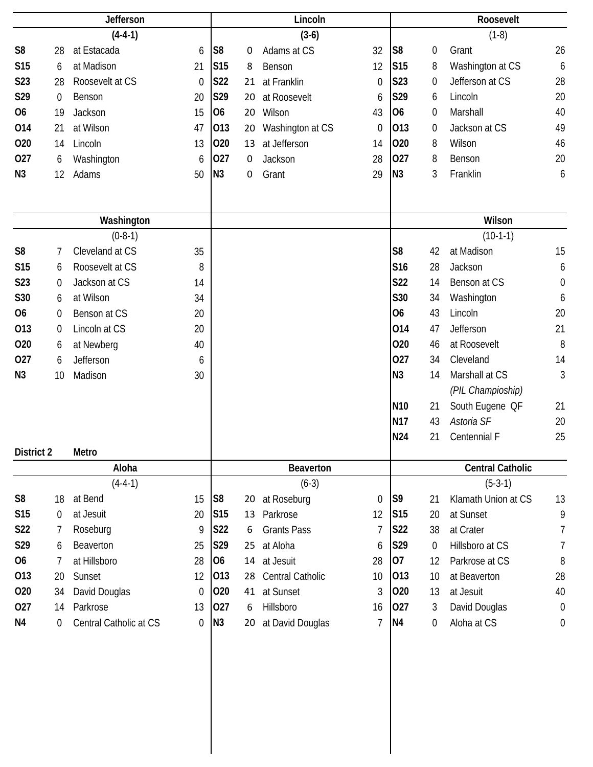|                 |                  | Jefferson              |                  |                 |    | Lincoln            |                |                 |                  | Roosevelt               |                  |
|-----------------|------------------|------------------------|------------------|-----------------|----|--------------------|----------------|-----------------|------------------|-------------------------|------------------|
|                 |                  | $(4-4-1)$              |                  |                 |    | $(3-6)$            |                |                 |                  | $(1-8)$                 |                  |
| S <sub>8</sub>  | 28               | at Estacada            | 6                | S <sub>8</sub>  | 0  | Adams at CS        | 32             | S8              | $\boldsymbol{0}$ | Grant                   | 26               |
| S <sub>15</sub> | 6                | at Madison             | 21               | S15             | 8  | Benson             | 12             | S <sub>15</sub> | 8                | Washington at CS        | 6                |
| S23             | 28               | Roosevelt at CS        | $\mathbf 0$      | S22             | 21 | at Franklin        | $\mathbf 0$    | S23             | $\boldsymbol{0}$ | Jefferson at CS         | 28               |
| S29             | $\boldsymbol{0}$ | Benson                 | 20               | S29             | 20 | at Roosevelt       | 6              | S29             | 6                | Lincoln                 | 20               |
| O <sub>6</sub>  | 19               | Jackson                | 15               | O <sub>6</sub>  | 20 | Wilson             | 43             | 06              | $\boldsymbol{0}$ | Marshall                | 40               |
| 014             | 21               | at Wilson              | 47               | 013             | 20 | Washington at CS   | $\mathbf 0$    | 013             | $\boldsymbol{0}$ | Jackson at CS           | 49               |
| 020             | 14               | Lincoln                | 13               | 020             | 13 | at Jefferson       | 14             | 020             | 8                | Wilson                  | 46               |
| 027             | 6                | Washington             | 6                | 027             | 0  | Jackson            | 28             | 027             | 8                | Benson                  | 20               |
| N <sub>3</sub>  | 12               | Adams                  | 50               | N3              | 0  | Grant              | 29             | N <sub>3</sub>  | 3                | Franklin                | 6                |
|                 |                  |                        |                  |                 |    |                    |                |                 |                  |                         |                  |
|                 |                  |                        |                  |                 |    |                    |                |                 |                  |                         |                  |
|                 |                  | Washington             |                  |                 |    |                    |                |                 |                  | Wilson                  |                  |
|                 |                  | $(0-8-1)$              |                  |                 |    |                    |                |                 |                  | $(10-1-1)$              |                  |
| S <sub>8</sub>  | 7                | Cleveland at CS        | 35               |                 |    |                    |                | S <sub>8</sub>  | 42               | at Madison              | 15               |
| S <sub>15</sub> | 6                | Roosevelt at CS        | 8                |                 |    |                    |                | S16             | 28               | Jackson                 | 6                |
| S23             | 0                | Jackson at CS          | 14               |                 |    |                    |                | <b>S22</b>      | 14               | Benson at CS            | $\boldsymbol{0}$ |
| S30             | 6                | at Wilson              | 34               |                 |    |                    |                | S30             | 34               | Washington              | 6                |
| <b>O6</b>       | 0                | Benson at CS           | 20               |                 |    |                    |                | <b>O6</b>       | 43               | Lincoln                 | 20               |
| 013             | 0                | Lincoln at CS          | 20               |                 |    |                    |                | 014             | 47               | Jefferson               | 21               |
| 020             | 6                | at Newberg             | 40               |                 |    |                    |                | 020             | 46               | at Roosevelt            | 8                |
| 027             | 6                | Jefferson              | 6                |                 |    |                    |                | 027             | 34               | Cleveland               | 14               |
| N3              | 10               | Madison                | 30               |                 |    |                    |                | N3              | 14               | Marshall at CS          | $\mathfrak{Z}$   |
|                 |                  |                        |                  |                 |    |                    |                |                 |                  | (PIL Champioship)       |                  |
|                 |                  |                        |                  |                 |    |                    |                | N <sub>10</sub> | 21               | South Eugene OF         | 21               |
|                 |                  |                        |                  |                 |    |                    |                | <b>N17</b>      | 43               | Astoria SF              | 20               |
|                 |                  |                        |                  |                 |    |                    |                | <b>N24</b>      | 21               | Centennial F            | 25               |
| District 2      |                  | Metro                  |                  |                 |    |                    |                |                 |                  |                         |                  |
|                 |                  | Aloha                  |                  |                 |    | Beaverton          |                |                 |                  | <b>Central Catholic</b> |                  |
|                 |                  | $(4-4-1)$              |                  |                 |    | $(6-3)$            |                |                 |                  | $(5-3-1)$               |                  |
| S <sub>8</sub>  | 18               | at Bend                | 15               | S <sub>8</sub>  |    | 20 at Roseburg     | $\mathbf 0$    | S <sub>9</sub>  | 21               | Klamath Union at CS     | 13               |
| <b>S15</b>      | 0                | at Jesuit              | 20               | S <sub>15</sub> | 13 | Parkrose           | 12             | <b>S15</b>      | 20               | at Sunset               | 9                |
| <b>S22</b>      | 7                | Roseburg               | 9                | <b>S22</b>      | 6  | <b>Grants Pass</b> | 7              | <b>S22</b>      | 38               | at Crater               | 7                |
| S29             | 6                | Beaverton              | 25               | S29             | 25 | at Aloha           | 6              | S29             | $\overline{0}$   | Hillsboro at CS         | $\overline{7}$   |
| 06              | 7                | at Hillsboro           | 28               | 06              |    | 14 at Jesuit       | 28             | 07              | 12               | Parkrose at CS          | 8                |
| 013             | 20               | Sunset                 | 12               | 013             | 28 | Central Catholic   | 10             | 013             | 10               | at Beaverton            | 28               |
| 020             | 34               | David Douglas          | $\Omega$         | 020             | 41 | at Sunset          | 3              | 020             | 13               | at Jesuit               | 40               |
| 027             | 14               | Parkrose               | 13               | 027             | 6  | Hillsboro          | 16             | 027             | $\mathfrak{Z}$   | David Douglas           | $\boldsymbol{0}$ |
| N4              | 0                | Central Catholic at CS | $\boldsymbol{0}$ | N3              | 20 | at David Douglas   | $\overline{7}$ | N <sub>4</sub>  | $\overline{0}$   | Aloha at CS             | $\boldsymbol{0}$ |
|                 |                  |                        |                  |                 |    |                    |                |                 |                  |                         |                  |
|                 |                  |                        |                  |                 |    |                    |                |                 |                  |                         |                  |
|                 |                  |                        |                  |                 |    |                    |                |                 |                  |                         |                  |
|                 |                  |                        |                  |                 |    |                    |                |                 |                  |                         |                  |
|                 |                  |                        |                  |                 |    |                    |                |                 |                  |                         |                  |
|                 |                  |                        |                  |                 |    |                    |                |                 |                  |                         |                  |
|                 |                  |                        |                  |                 |    |                    |                |                 |                  |                         |                  |
|                 |                  |                        |                  |                 |    |                    |                |                 |                  |                         |                  |
|                 |                  |                        |                  |                 |    |                    |                |                 |                  |                         |                  |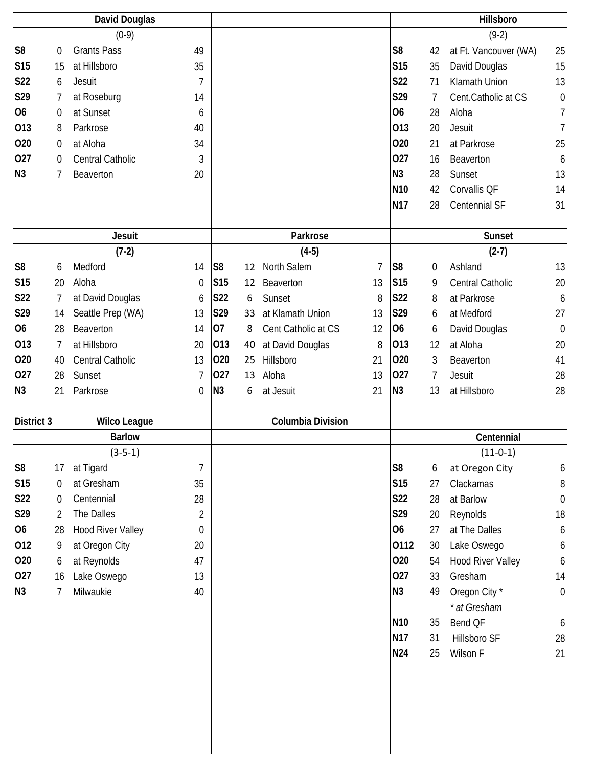|                 | <b>David Douglas</b><br>$(0-9)$<br><b>Grants Pass</b><br>$\boldsymbol{0}$ |                          |                |                 |    |                     |                |                 |             | Hillsboro                |                  |
|-----------------|---------------------------------------------------------------------------|--------------------------|----------------|-----------------|----|---------------------|----------------|-----------------|-------------|--------------------------|------------------|
|                 |                                                                           |                          |                |                 |    |                     |                |                 |             | $(9-2)$                  |                  |
| S <sub>8</sub>  |                                                                           |                          | 49             |                 |    |                     |                | S <sub>8</sub>  | 42          | at Ft. Vancouver (WA)    | 25               |
| S <sub>15</sub> | 15                                                                        | at Hillsboro             | 35             |                 |    |                     |                | <b>S15</b>      | 35          | David Douglas            | 15               |
| S22             | 6                                                                         | <b>Jesuit</b>            | $\overline{1}$ |                 |    |                     |                | <b>S22</b>      | 71          | Klamath Union            | 13               |
| S29             | 7                                                                         | at Roseburg              | 14             |                 |    |                     |                | S29             | 7           | Cent.Catholic at CS      | $\mathbf 0$      |
| <b>O6</b>       | $\boldsymbol{0}$                                                          | at Sunset                | 6              |                 |    |                     |                | <b>O6</b>       | 28          | Aloha                    | $\overline{7}$   |
| 013             | 8                                                                         | Parkrose                 | 40             |                 |    |                     |                | 013             | 20          | Jesuit                   | $\overline{1}$   |
| 020             | 0                                                                         | at Aloha                 | 34             |                 |    |                     |                | 020             | 21          | at Parkrose              | 25               |
| 027             | 0                                                                         | Central Catholic         | 3              |                 |    |                     |                | 027             | 16          | Beaverton                | 6                |
| N <sub>3</sub>  | 7                                                                         | Beaverton                | 20             |                 |    |                     |                | N <sub>3</sub>  | 28          | Sunset                   | 13               |
|                 |                                                                           |                          |                |                 |    |                     |                | N <sub>10</sub> | 42          | Corvallis QF             | 14               |
|                 |                                                                           |                          |                |                 |    |                     |                | <b>N17</b>      | 28          | Centennial SF            | 31               |
|                 |                                                                           |                          |                |                 |    |                     |                |                 |             |                          |                  |
|                 |                                                                           | <b>Jesuit</b>            |                |                 |    | Parkrose            |                |                 |             | <b>Sunset</b>            |                  |
|                 |                                                                           | $(7-2)$                  |                |                 |    | $(4-5)$             |                |                 |             | $(2-7)$                  |                  |
| S <sub>8</sub>  | 6                                                                         | Medford                  | 14             | S8              | 12 | North Salem         | $\overline{1}$ | S <sub>8</sub>  | $\mathbf 0$ | Ashland                  | 13               |
| <b>S15</b>      | 20                                                                        | Aloha                    | $\mathbf 0$    | S <sub>15</sub> | 12 | Beaverton           | 13             | S <sub>15</sub> | 9           | Central Catholic         | 20               |
| S22             | 7                                                                         | at David Douglas         | 6              | S22             | 6  | Sunset              | 8              | <b>S22</b>      | 8           | at Parkrose              | 6                |
| S29             | 14                                                                        | Seattle Prep (WA)        | 13             | S29             | 33 | at Klamath Union    | 13             | S29             | 6           | at Medford               | 27               |
| <b>O6</b>       | 28                                                                        | Beaverton                | 14             | 07              | 8  | Cent Catholic at CS | 12             | <b>O6</b>       | 6           | David Douglas            | $\mathbf 0$      |
| 013             | 7                                                                         | at Hillsboro             | 20             | 013             | 40 | at David Douglas    | 8              | 013             | 12          | at Aloha                 | 20               |
| 020             | 40                                                                        | Central Catholic         | 13             | 020             | 25 | Hillsboro           | 21             | 020             | 3           | Beaverton                | 41               |
| 027             | 28                                                                        | Sunset                   | $\overline{7}$ | 027             | 13 | Aloha               | 13             | 027             | 7           | Jesuit                   | 28               |
| N <sub>3</sub>  | 21                                                                        | Parkrose                 | $\mathbf 0$    | N <sub>3</sub>  | 6  | at Jesuit           | 21             | N <sub>3</sub>  | 13          | at Hillsboro             | 28               |
|                 |                                                                           |                          |                |                 |    |                     |                |                 |             |                          |                  |
| District 3      |                                                                           | <b>Wilco League</b>      |                |                 |    | Columbia Division   |                |                 |             |                          |                  |
|                 |                                                                           | <b>Barlow</b>            |                |                 |    |                     |                |                 |             | Centennial               |                  |
|                 |                                                                           | $(3-5-1)$                |                |                 |    |                     |                |                 |             | $(11-0-1)$               |                  |
| S <sub>8</sub>  | 17                                                                        | at Tigard                | $\overline{7}$ |                 |    |                     |                | S <sub>8</sub>  | 6           | at Oregon City           | 6                |
| S15             | $\mathbf 0$                                                               | at Gresham               | 35             |                 |    |                     |                | S15             | 27          | Clackamas                | $\, 8$           |
| <b>S22</b>      | $\boldsymbol{0}$                                                          | Centennial               | 28             |                 |    |                     |                | <b>S22</b>      | 28          | at Barlow                | $\boldsymbol{0}$ |
| S29             | $\overline{2}$                                                            | The Dalles               | $\overline{2}$ |                 |    |                     |                | S29             | 20          | Reynolds                 | 18               |
| 06              | 28                                                                        | <b>Hood River Valley</b> | $\mathbf 0$    |                 |    |                     |                | <b>O6</b>       | 27          | at The Dalles            | 6                |
| 012             | 9                                                                         | at Oregon City           | 20             |                 |    |                     |                | 0112            | 30          | Lake Oswego              | 6                |
| 020             | 6                                                                         | at Reynolds              | 47             |                 |    |                     |                | 020             | 54          | <b>Hood River Valley</b> | 6                |
| 027             | 16                                                                        | Lake Oswego              | 13             |                 |    |                     |                | 027             | 33          | Gresham                  | 14               |
| N <sub>3</sub>  | 7                                                                         | Milwaukie                | 40             |                 |    |                     |                | N3              | 49          | Oregon City*             | $\boldsymbol{0}$ |
|                 |                                                                           |                          |                |                 |    |                     |                |                 |             | * at Gresham             |                  |
|                 |                                                                           |                          |                |                 |    |                     |                | N <sub>10</sub> | 35          | Bend QF                  | 6                |
|                 |                                                                           |                          |                |                 |    |                     |                | <b>N17</b>      | 31          | Hillsboro SF             | 28               |
|                 |                                                                           |                          |                |                 |    |                     |                | N24             | 25          | Wilson F                 | 21               |
|                 |                                                                           |                          |                |                 |    |                     |                |                 |             |                          |                  |
|                 |                                                                           |                          |                |                 |    |                     |                |                 |             |                          |                  |
|                 |                                                                           |                          |                |                 |    |                     |                |                 |             |                          |                  |
|                 |                                                                           |                          |                |                 |    |                     |                |                 |             |                          |                  |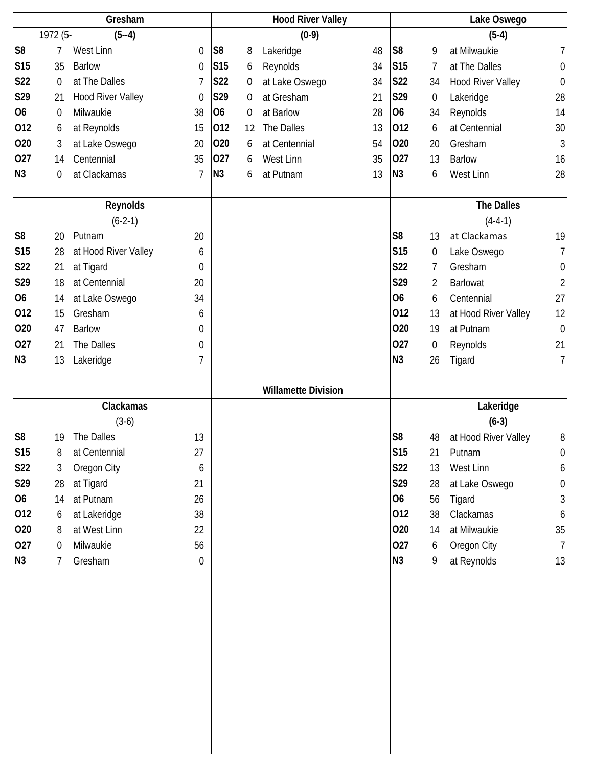|                 |             | Gresham                  |                  |                |    | <b>Hood River Valley</b>   |    |                |                | Lake Oswego              |                  |
|-----------------|-------------|--------------------------|------------------|----------------|----|----------------------------|----|----------------|----------------|--------------------------|------------------|
|                 | 1972 (5-    | $(5 - 4)$                |                  |                |    | $(0-9)$                    |    |                |                | $(5-4)$                  |                  |
| S <sub>8</sub>  | 7           | West Linn                | $\boldsymbol{0}$ | S <sub>8</sub> | 8  | Lakeridge                  | 48 | S <sub>8</sub> | 9              | at Milwaukie             | $\overline{1}$   |
| <b>S15</b>      | 35          | <b>Barlow</b>            | $\mathbf 0$      | <b>S15</b>     | 6  | Reynolds                   | 34 | <b>S15</b>     | 7              | at The Dalles            | $\mathbf 0$      |
| S22             | $\mathbf 0$ | at The Dalles            | $\overline{7}$   | <b>S22</b>     | 0  | at Lake Oswego             | 34 | <b>S22</b>     | 34             | <b>Hood River Valley</b> | $\boldsymbol{0}$ |
| S29             | 21          | <b>Hood River Valley</b> | $\mathbf 0$      | S29            | 0  | at Gresham                 | 21 | S29            | 0              | Lakeridge                | 28               |
| <b>O6</b>       | $\mathbf 0$ | Milwaukie                | 38               | <b>O6</b>      | 0  | at Barlow                  | 28 | 06             | 34             | Reynolds                 | 14               |
| 012             | 6           | at Reynolds              | 15               | 012            | 12 | The Dalles                 | 13 | 012            | 6              | at Centennial            | 30               |
| 020             | 3           | at Lake Oswego           | 20               | 020            | 6  | at Centennial              | 54 | 020            | 20             | Gresham                  | $\mathfrak{Z}$   |
| 027             | 14          | Centennial               | 35               | 027            | 6  | West Linn                  | 35 | 027            | 13             | <b>Barlow</b>            | 16               |
| N3              | 0           | at Clackamas             | $\overline{7}$   | N <sub>3</sub> | 6  | at Putnam                  | 13 | N <sub>3</sub> | 6              | West Linn                | 28               |
|                 |             |                          |                  |                |    |                            |    |                |                |                          |                  |
|                 |             | Reynolds                 |                  |                |    |                            |    |                |                | <b>The Dalles</b>        |                  |
|                 |             | $(6-2-1)$                |                  |                |    |                            |    |                |                | $(4-4-1)$                |                  |
| S <sub>8</sub>  | 20          | Putnam                   | 20               |                |    |                            |    | S <sub>8</sub> | 13             | at Clackamas             | 19               |
| S <sub>15</sub> | 28          | at Hood River Valley     | 6                |                |    |                            |    | <b>S15</b>     | 0              | Lake Oswego              | 7                |
| <b>S22</b>      | 21          | at Tigard                | $\mathbf 0$      |                |    |                            |    | S22            | 7              | Gresham                  | $\boldsymbol{0}$ |
| S29             | 18          | at Centennial            | 20               |                |    |                            |    | S29            | $\overline{2}$ | <b>Barlowat</b>          | $\overline{2}$   |
| <b>O6</b>       | 14          | at Lake Oswego           | 34               |                |    |                            |    | <b>O6</b>      | 6              | Centennial               | 27               |
| 012             | 15          | Gresham                  | 6                |                |    |                            |    | 012            | 13             | at Hood River Valley     | 12               |
| 020             | 47          | <b>Barlow</b>            | 0                |                |    |                            |    | 020            | 19             | at Putnam                | $\mathbf 0$      |
| 027             | 21          | The Dalles               | 0                |                |    |                            |    | 027            | 0              | Reynolds                 | 21               |
| N3              | 13          | Lakeridge                | 7                |                |    |                            |    | N <sub>3</sub> | 26             | Tigard                   | $\overline{1}$   |
|                 |             |                          |                  |                |    |                            |    |                |                |                          |                  |
|                 |             |                          |                  |                |    |                            |    |                |                |                          |                  |
|                 |             |                          |                  |                |    | <b>Willamette Division</b> |    |                |                |                          |                  |
|                 |             | Clackamas                |                  |                |    |                            |    |                |                | Lakeridge                |                  |
|                 |             | $(3-6)$                  |                  |                |    |                            |    |                |                | $(6-3)$                  |                  |
| S <sub>8</sub>  | 19          | The Dalles               | 13               |                |    |                            |    | S <sub>8</sub> | 48             | at Hood River Valley     | 8                |
| S15             | 8           | at Centennial            | 27               |                |    |                            |    | <b>S15</b>     | 21             | Putnam                   | $\mathbf 0$      |
| <b>S22</b>      | 3           | Oregon City              | 6                |                |    |                            |    | S22            | 13             | West Linn                | 6                |
| S29             | 28          | at Tigard                | 21               |                |    |                            |    | S29            | 28             | at Lake Oswego           | $\boldsymbol{0}$ |
| <b>O6</b>       | 14          | at Putnam                | 26               |                |    |                            |    | 06             | 56             | Tigard                   | 3                |
| 012             | 6           | at Lakeridge             | 38               |                |    |                            |    | 012            | 38             | Clackamas                | 6                |
| 020             | 8           | at West Linn             | 22               |                |    |                            |    | 020            | 14             | at Milwaukie             | 35               |
| 027             | $\theta$    | Milwaukie                | 56               |                |    |                            |    | 027            | 6              | Oregon City              | $\overline{7}$   |
| N <sub>3</sub>  | 7           | Gresham                  | 0                |                |    |                            |    | N3             | 9              | at Reynolds              | 13               |
|                 |             |                          |                  |                |    |                            |    |                |                |                          |                  |
|                 |             |                          |                  |                |    |                            |    |                |                |                          |                  |
|                 |             |                          |                  |                |    |                            |    |                |                |                          |                  |
|                 |             |                          |                  |                |    |                            |    |                |                |                          |                  |
|                 |             |                          |                  |                |    |                            |    |                |                |                          |                  |
|                 |             |                          |                  |                |    |                            |    |                |                |                          |                  |
|                 |             |                          |                  |                |    |                            |    |                |                |                          |                  |
|                 |             |                          |                  |                |    |                            |    |                |                |                          |                  |
|                 |             |                          |                  |                |    |                            |    |                |                |                          |                  |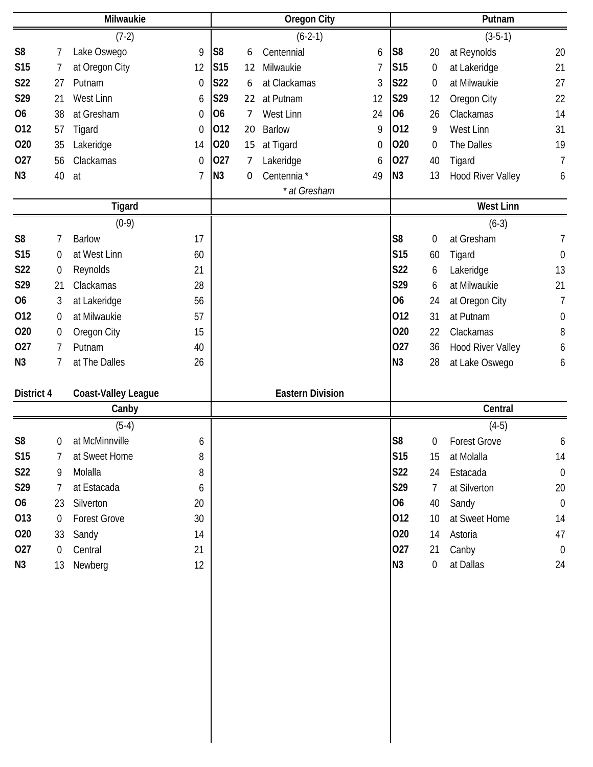|                |                  | Milwaukie                  |                |                |    | <b>Oregon City</b>      |             |                 |                  | Putnam                   |                  |
|----------------|------------------|----------------------------|----------------|----------------|----|-------------------------|-------------|-----------------|------------------|--------------------------|------------------|
|                |                  | $(7-2)$                    |                |                |    | $(6-2-1)$               |             |                 |                  | $(3-5-1)$                |                  |
| S <sub>8</sub> | 7                | Lake Oswego                | 9              | S <sub>8</sub> | 6  | Centennial              | 6           | S <sub>8</sub>  | 20               | at Reynolds              | 20               |
| <b>S15</b>     | 7                | at Oregon City             | 12             | <b>S15</b>     | 12 | Milwaukie               | 7           | S <sub>15</sub> | 0                | at Lakeridge             | 21               |
| S22            | 27               | Putnam                     | $\mathbf 0$    | <b>S22</b>     | 6  | at Clackamas            | 3           | S22             | 0                | at Milwaukie             | 27               |
| S29            | 21               | West Linn                  | 6              | S29            | 22 | at Putnam               | 12          | S29             | 12               | Oregon City              | 22               |
| 06             | 38               | at Gresham                 | 0              | <b>O6</b>      | 7  | West Linn               | 24          | 06              | 26               | Clackamas                | 14               |
| 012            | 57               | Tigard                     | $\mathbf 0$    | 012            | 20 | <b>Barlow</b>           | 9           | 012             | 9                | West Linn                | 31               |
| 020            | 35               | Lakeridge                  | 14             | 020            | 15 | at Tigard               | $\mathbf 0$ | 020             | 0                | The Dalles               | 19               |
| 027            | 56               | Clackamas                  | 0              | 027            | 7  | Lakeridge               | 6           | 027             | 40               | Tigard                   | $\overline{1}$   |
| N <sub>3</sub> | 40               | at                         | $\overline{1}$ | N3             | 0  | Centennia *             | 49          | N <sub>3</sub>  | 13               | <b>Hood River Valley</b> | 6                |
|                |                  |                            |                |                |    | * at Gresham            |             |                 |                  |                          |                  |
|                |                  | <b>Tigard</b>              |                |                |    |                         |             |                 |                  | <b>West Linn</b>         |                  |
|                |                  | $(0-9)$                    |                |                |    |                         |             |                 |                  | $(6-3)$                  |                  |
| S <sub>8</sub> | 7                | <b>Barlow</b>              | 17             |                |    |                         |             | S <sub>8</sub>  | $\boldsymbol{0}$ | at Gresham               | 7                |
| <b>S15</b>     | $\mathbf 0$      | at West Linn               | 60             |                |    |                         |             | <b>S15</b>      | 60               | Tigard                   | $\mathbf 0$      |
| S22            | $\boldsymbol{0}$ | Reynolds                   | 21             |                |    |                         |             | S22             | 6                | Lakeridge                | 13               |
| S29            | 21               | Clackamas                  | 28             |                |    |                         |             | S29             | 6                | at Milwaukie             | 21               |
| 06             | 3                | at Lakeridge               | 56             |                |    |                         |             | <b>O6</b>       | 24               | at Oregon City           | $\overline{7}$   |
| 012            | $\mathbf 0$      | at Milwaukie               | 57             |                |    |                         |             | 012             | 31               | at Putnam                | $\mathbf 0$      |
| 020            | $\boldsymbol{0}$ | Oregon City                | 15             |                |    |                         |             | 020             | 22               | Clackamas                | 8                |
| 027            | $\overline{7}$   | Putnam                     | 40             |                |    |                         |             | 027             | 36               | <b>Hood River Valley</b> | 6                |
| N <sub>3</sub> | 7                | at The Dalles              | 26             |                |    |                         |             | N <sub>3</sub>  | 28               | at Lake Oswego           | 6                |
|                |                  |                            |                |                |    |                         |             |                 |                  |                          |                  |
| District 4     |                  | <b>Coast-Valley League</b> |                |                |    | <b>Eastern Division</b> |             |                 |                  |                          |                  |
|                |                  | Canby                      |                |                |    |                         |             |                 |                  | Central                  |                  |
|                |                  |                            |                |                |    |                         |             |                 |                  | $(4-5)$                  |                  |
|                |                  |                            |                |                |    |                         |             |                 |                  |                          |                  |
| S <sub>8</sub> | $\mathbf 0$      | $(5-4)$<br>at McMinnville  | 6              |                |    |                         |             | S <sub>8</sub>  | 0                | <b>Forest Grove</b>      | 6                |
| <b>S15</b>     | 7                | at Sweet Home              | 8              |                |    |                         |             | S15             | 15               | at Molalla               | 14               |
| S22            | 9                | Molalla                    | 8              |                |    |                         |             | S22             | 24               | Estacada                 | $\boldsymbol{0}$ |
| S29            | 7                | at Estacada                | 6              |                |    |                         |             | S29             | $\overline{7}$   | at Silverton             | 20               |
| 06             | 23               | Silverton                  | 20             |                |    |                         |             | 06              | 40               | Sandy                    | $\boldsymbol{0}$ |
| 013            | 0                | <b>Forest Grove</b>        | 30             |                |    |                         |             | 012             | 10               | at Sweet Home            | 14               |
| 020            | 33               | Sandy                      | 14             |                |    |                         |             | 020             | 14               | Astoria                  | 47               |
| 027            | $\overline{0}$   | Central                    | 21             |                |    |                         |             | 027             | 21               |                          | $\boldsymbol{0}$ |
| N3             | 13               | Newberg                    | 12             |                |    |                         |             | N3              | 0                | Canby<br>at Dallas       | 24               |
|                |                  |                            |                |                |    |                         |             |                 |                  |                          |                  |
|                |                  |                            |                |                |    |                         |             |                 |                  |                          |                  |
|                |                  |                            |                |                |    |                         |             |                 |                  |                          |                  |
|                |                  |                            |                |                |    |                         |             |                 |                  |                          |                  |
|                |                  |                            |                |                |    |                         |             |                 |                  |                          |                  |
|                |                  |                            |                |                |    |                         |             |                 |                  |                          |                  |
|                |                  |                            |                |                |    |                         |             |                 |                  |                          |                  |
|                |                  |                            |                |                |    |                         |             |                 |                  |                          |                  |
|                |                  |                            |                |                |    |                         |             |                 |                  |                          |                  |
|                |                  |                            |                |                |    |                         |             |                 |                  |                          |                  |
|                |                  |                            |                |                |    |                         |             |                 |                  |                          |                  |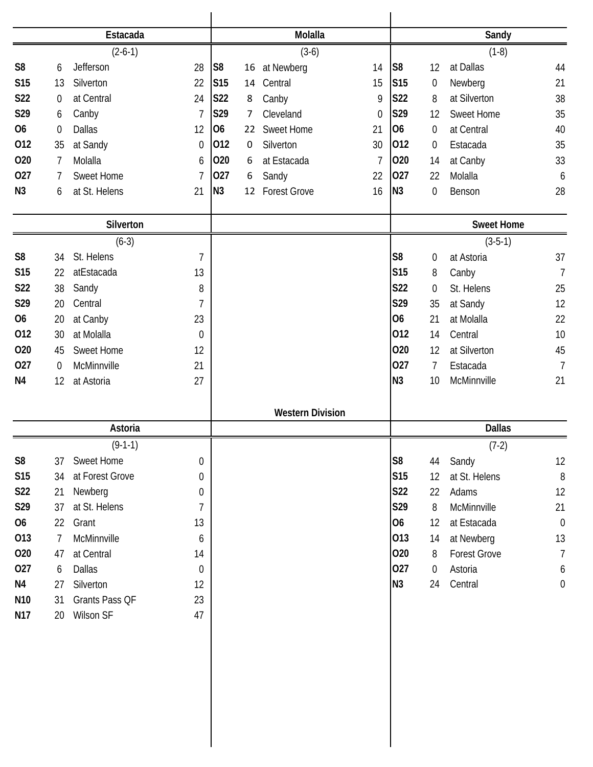|                 |                | Estacada               |                  |                 |    | Molalla                 |                  |                 |                | Sandy                          |                      |
|-----------------|----------------|------------------------|------------------|-----------------|----|-------------------------|------------------|-----------------|----------------|--------------------------------|----------------------|
|                 |                |                        |                  |                 |    |                         |                  |                 |                |                                |                      |
|                 |                | $(2-6-1)$              |                  |                 |    | $(3-6)$                 |                  |                 |                | $(1-8)$                        |                      |
| S <sub>8</sub>  | 6              | Jefferson              | 28               | S <sub>8</sub>  | 16 | at Newberg              | 14               | S <sub>8</sub>  | 12             | at Dallas                      | 44                   |
| <b>S15</b>      | 13             | Silverton              | 22               | S <sub>15</sub> | 14 | Central                 | 15               | S <sub>15</sub> | 0              | Newberg                        | 21                   |
| <b>S22</b>      | 0              | at Central             | 24               | <b>S22</b>      | 8  | Canby                   | 9                | <b>S22</b>      | 8              | at Silverton                   | 38                   |
| S29             | 6              | Canby                  | $\overline{7}$   | S29             | 7  | Cleveland               | $\boldsymbol{0}$ | S29             | 12             | Sweet Home                     | 35                   |
| <b>O6</b>       | $\overline{0}$ | <b>Dallas</b>          | 12               | 06              | 22 | Sweet Home              | 21               | <b>O6</b>       | $\overline{0}$ | at Central                     | 40                   |
| 012             | 35             | at Sandy               | $\mathbf 0$      | 012             | 0  | Silverton               | 30               | 012             | 0              | Estacada                       | 35                   |
| 020             | $\overline{7}$ | Molalla                | 6                | 020             | 6  | at Estacada             | $\overline{1}$   | 020             | 14             | at Canby                       | 33                   |
| 027             | 7              | <b>Sweet Home</b>      | $\overline{1}$   | 027             | 6  | Sandy                   | 22               | 027             | 22             | Molalla                        | 6                    |
| N <sub>3</sub>  | 6              | at St. Helens          | 21               | N <sub>3</sub>  | 12 | <b>Forest Grove</b>     | 16               | N <sub>3</sub>  | 0              | Benson                         | 28                   |
|                 |                |                        |                  |                 |    |                         |                  |                 |                |                                |                      |
|                 |                | Silverton<br>$(6-3)$   |                  |                 |    |                         |                  |                 |                | <b>Sweet Home</b><br>$(3-5-1)$ |                      |
| S <sub>8</sub>  | 34             | St. Helens             | $\overline{1}$   |                 |    |                         |                  | S <sub>8</sub>  | 0              | at Astoria                     | 37                   |
| <b>S15</b>      | 22             | atEstacada             | 13               |                 |    |                         |                  | S15             | 8              | Canby                          | $\overline{1}$       |
| S22             | 38             | Sandy                  | 8                |                 |    |                         |                  | S22             | 0              | St. Helens                     | 25                   |
| S29             | 20             | Central                | $\overline{1}$   |                 |    |                         |                  | S29             | 35             |                                | 12                   |
| <b>O6</b>       | 20             |                        | 23               |                 |    |                         |                  | <b>O6</b>       | 21             | at Sandy<br>at Molalla         | 22                   |
| 012             | 30             | at Canby<br>at Molalla | $\mathbf 0$      |                 |    |                         |                  | 012             | 14             | Central                        | 10                   |
| 020             |                | <b>Sweet Home</b>      |                  |                 |    |                         |                  | 020             |                |                                |                      |
| 027             | 45             | McMinnville            | 12               |                 |    |                         |                  | 027             | 12             | at Silverton                   | 45<br>$\overline{7}$ |
|                 | 0              |                        | 21               |                 |    |                         |                  | N <sub>3</sub>  | 7<br>10        | Estacada<br>McMinnville        | 21                   |
| N <sub>4</sub>  | 12             | at Astoria             | 27               |                 |    |                         |                  |                 |                |                                |                      |
|                 |                |                        |                  |                 |    | <b>Western Division</b> |                  |                 |                |                                |                      |
|                 |                | Astoria                |                  |                 |    |                         |                  |                 |                | <b>Dallas</b>                  |                      |
|                 |                | $(9-1-1)$              |                  |                 |    |                         |                  |                 |                | $(7-2)$                        |                      |
| S <sub>8</sub>  | 37             | Sweet Home             | $\boldsymbol{0}$ |                 |    |                         |                  | S <sub>8</sub>  | 44             | Sandy                          | 12                   |
| S15             | 34             | at Forest Grove        | $\boldsymbol{0}$ |                 |    |                         |                  | S15             | 12             | at St. Helens                  | $\, 8$               |
| <b>S22</b>      | 21             | Newberg                | 0                |                 |    |                         |                  | S22             | 22             | Adams                          | 12                   |
| S29             | 37             | at St. Helens          | $\overline{1}$   |                 |    |                         |                  | S29             | 8              | McMinnville                    | 21                   |
| 06              | 22             | Grant                  | 13               |                 |    |                         |                  | 06              | 12             | at Estacada                    | $\boldsymbol{0}$     |
| 013             | $\overline{7}$ | McMinnville            | 6                |                 |    |                         |                  | 013             | 14             | at Newberg                     | 13                   |
| 020             | 47             | at Central             | 14               |                 |    |                         |                  | 020             | 8              | <b>Forest Grove</b>            | $\overline{7}$       |
| 027             | 6              | <b>Dallas</b>          | $\mathbf 0$      |                 |    |                         |                  | 027             | $\overline{0}$ | Astoria                        | 6                    |
| N4              | 27             | Silverton              | 12               |                 |    |                         |                  | N3              | 24             | Central                        | $\boldsymbol{0}$     |
| N <sub>10</sub> | 31             | Grants Pass QF         | 23               |                 |    |                         |                  |                 |                |                                |                      |
| N17             | 20             | Wilson SF              | 47               |                 |    |                         |                  |                 |                |                                |                      |
|                 |                |                        |                  |                 |    |                         |                  |                 |                |                                |                      |
|                 |                |                        |                  |                 |    |                         |                  |                 |                |                                |                      |
|                 |                |                        |                  |                 |    |                         |                  |                 |                |                                |                      |
|                 |                |                        |                  |                 |    |                         |                  |                 |                |                                |                      |
|                 |                |                        |                  |                 |    |                         |                  |                 |                |                                |                      |
|                 |                |                        |                  |                 |    |                         |                  |                 |                |                                |                      |
|                 |                |                        |                  |                 |    |                         |                  |                 |                |                                |                      |
|                 |                |                        |                  |                 |    |                         |                  |                 |                |                                |                      |
|                 |                |                        |                  |                 |    |                         |                  |                 |                |                                |                      |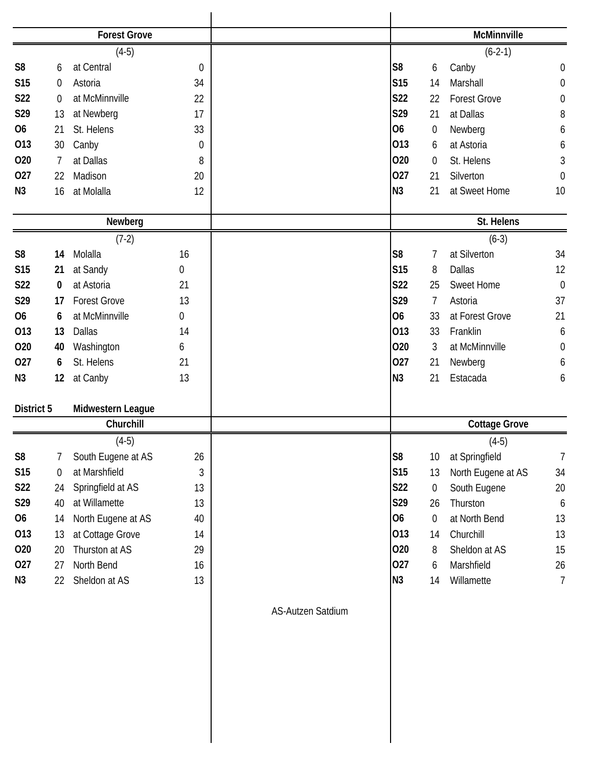|                |                | <b>Forest Grove</b> |                  |                   |                |                  | McMinnville          |                  |
|----------------|----------------|---------------------|------------------|-------------------|----------------|------------------|----------------------|------------------|
|                |                | $(4-5)$             |                  |                   |                |                  | $(6-2-1)$            |                  |
| S <sub>8</sub> | 6              | at Central          | $\boldsymbol{0}$ |                   | S <sub>8</sub> | 6                | Canby                | $\boldsymbol{0}$ |
| <b>S15</b>     | $\Omega$       | Astoria             | 34               |                   | S15            | 14               | Marshall             | $\boldsymbol{0}$ |
| S22            | 0              | at McMinnville      | 22               |                   | S22            | 22               | <b>Forest Grove</b>  | $\boldsymbol{0}$ |
| S29            | 13             | at Newberg          | 17               |                   | S29            | 21               | at Dallas            | 8                |
| <b>O6</b>      | 21             | St. Helens          | 33               |                   | <b>O6</b>      | 0                | Newberg              | 6                |
| 013            | 30             | Canby               | $\boldsymbol{0}$ |                   | 013            | 6                | at Astoria           | 6                |
| 020            | 7              | at Dallas           | 8                |                   | 020            | 0                | St. Helens           | $\sqrt{3}$       |
| 027            | 22             | Madison             | 20               |                   | 027            | 21               | Silverton            | $\mathbf 0$      |
| N <sub>3</sub> | 16             | at Molalla          | 12               |                   | N <sub>3</sub> | 21               | at Sweet Home        | 10               |
|                |                | Newberg             |                  |                   |                |                  | St. Helens           |                  |
|                |                | $(7-2)$             |                  |                   |                |                  | $(6-3)$              |                  |
| S <sub>8</sub> | 14             | Molalla             | 16               |                   | S <sub>8</sub> | 7                | at Silverton         | 34               |
| <b>S15</b>     | 21             | at Sandy            | 0                |                   | S15            | 8                | Dallas               | 12               |
| S22            | 0              | at Astoria          | 21               |                   | S22            | 25               | Sweet Home           | $\mathbf 0$      |
| S29            | 17             | <b>Forest Grove</b> | 13               |                   | S29            | 7                | Astoria              | 37               |
| <b>O6</b>      | 6              | at McMinnville      | 0                |                   | <b>O6</b>      | 33               | at Forest Grove      | 21               |
| 013            | 13             | Dallas              | 14               |                   | 013            | 33               | Franklin             | 6                |
| 020            | 40             | Washington          | 6                |                   | 020            | 3                | at McMinnville       | $\mathbf 0$      |
| 027            | 6              | St. Helens          | 21               |                   | 027            | 21               | Newberg              | 6                |
| N3             | 12             | at Canby            | 13               |                   | N <sub>3</sub> | 21               | Estacada             | 6                |
| District 5     |                | Midwestern League   |                  |                   |                |                  |                      |                  |
|                |                | Churchill           |                  |                   |                |                  | <b>Cottage Grove</b> |                  |
|                |                | $(4-5)$             |                  |                   |                |                  | $(4-5)$              |                  |
| S <sub>8</sub> | 7              | South Eugene at AS  | 26               |                   | S8             | 10               | at Springfield       | 7                |
| S15            | $\overline{0}$ | at Marshfield       | 3                |                   | S15            | 13               | North Eugene at AS   | 34               |
| <b>S22</b>     | 24             | Springfield at AS   | 13               |                   | S22            | $\pmb{0}$        | South Eugene         | 20               |
| S29            | 40             | at Willamette       | 13               |                   | S29            | 26               | Thurston             | 6                |
| 06             | 14             | North Eugene at AS  | 40               |                   | 06             | $\boldsymbol{0}$ | at North Bend        | 13               |
| 013            | 13             | at Cottage Grove    | 14               |                   | 013            | 14               | Churchill            | 13               |
| 020            | 20             | Thurston at AS      | 29               |                   | 020            | 8                | Sheldon at AS        | 15               |
| 027            | 27             | North Bend          | 16               |                   | 027            | 6                | Marshfield           | 26               |
| N3             | 22             | Sheldon at AS       | 13               |                   | N3             | 14               | Willamette           | $\overline{7}$   |
|                |                |                     |                  | AS-Autzen Satdium |                |                  |                      |                  |
|                |                |                     |                  |                   |                |                  |                      |                  |
|                |                |                     |                  |                   |                |                  |                      |                  |
|                |                |                     |                  |                   |                |                  |                      |                  |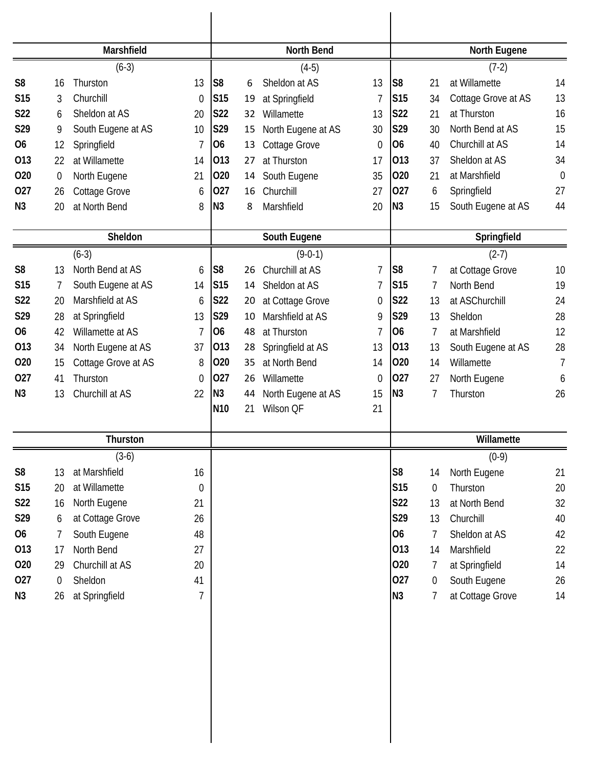|                 |                  | Marshfield          |                |                 |    | <b>North Bend</b>  |             |                 |                | North Eugene        |                |
|-----------------|------------------|---------------------|----------------|-----------------|----|--------------------|-------------|-----------------|----------------|---------------------|----------------|
|                 |                  | $(6-3)$             |                |                 |    | $(4-5)$            |             |                 |                | $(7-2)$             |                |
| S <sub>8</sub>  | 16               | Thurston            | 13             | S <sub>8</sub>  | 6  | Sheldon at AS      | 13          | S <sub>8</sub>  | 21             | at Willamette       | 14             |
| S <sub>15</sub> | 3                | Churchill           | $\theta$       | <b>S15</b>      | 19 | at Springfield     | 7           | S <sub>15</sub> | 34             | Cottage Grove at AS | 13             |
| <b>S22</b>      | 6                | Sheldon at AS       | 20             | <b>S22</b>      | 32 | Willamette         | 13          | <b>S22</b>      | 21             | at Thurston         | 16             |
| S29             | 9                | South Eugene at AS  | 10             | S29             | 15 | North Eugene at AS | 30          | S29             | 30             | North Bend at AS    | 15             |
| <b>O6</b>       | 12               | Springfield         | 7              | 06              | 13 | Cottage Grove      | 0           | <b>O6</b>       | 40             | Churchill at AS     | 14             |
| 013             | 22               | at Willamette       | 14             | 013             | 27 | at Thurston        | 17          | 013             | 37             | Sheldon at AS       | 34             |
| 020             | $\boldsymbol{0}$ | North Eugene        | 21             | 020             | 14 | South Eugene       | 35          | 020             | 21             | at Marshfield       | $\overline{0}$ |
| 027             | 26               | Cottage Grove       | 6              | 027             | 16 | Churchill          | 27          | 027             | 6              | Springfield         | 27             |
| N <sub>3</sub>  | 20               | at North Bend       | 8              | N <sub>3</sub>  | 8  | Marshfield         | 20          | N <sub>3</sub>  | 15             | South Eugene at AS  | 44             |
|                 |                  | Sheldon             |                |                 |    | South Eugene       |             |                 |                | Springfield         |                |
|                 |                  | $(6-3)$             |                |                 |    | $(9-0-1)$          |             |                 |                | $(2-7)$             |                |
| S <sub>8</sub>  | 13               | North Bend at AS    | 6              | S <sub>8</sub>  | 26 | Churchill at AS    | 7           | S8              | 7              | at Cottage Grove    | 10             |
| S <sub>15</sub> | 7                | South Eugene at AS  | 14             | <b>S15</b>      | 14 | Sheldon at AS      | 7           | S <sub>15</sub> | $\overline{7}$ | North Bend          | 19             |
| <b>S22</b>      | 20               | Marshfield at AS    | 6              | S22             | 20 | at Cottage Grove   | $\mathbf 0$ | <b>S22</b>      | 13             | at ASChurchill      | 24             |
| S29             | 28               | at Springfield      | 13             | S29             | 10 | Marshfield at AS   | 9           | S29             | 13             | Sheldon             | 28             |
| <b>O6</b>       | 42               | Willamette at AS    | $\overline{7}$ | <b>O6</b>       | 48 | at Thurston        | 7           | O <sub>6</sub>  | $\overline{7}$ | at Marshfield       | 12             |
| 013             | 34               | North Eugene at AS  | 37             | 013             | 28 | Springfield at AS  | 13          | 013             | 13             | South Eugene at AS  | 28             |
| 020             | 15               | Cottage Grove at AS | 8              | 020             | 35 | at North Bend      | 14          | 020             | 14             | Willamette          | 7              |
| 027             | 41               | Thurston            | $\theta$       | 027             | 26 | Willamette         | 0           | 027             | 27             | North Eugene        | 6              |
| N <sub>3</sub>  | 13               | Churchill at AS     | 22             | N <sub>3</sub>  | 44 | North Eugene at AS | 15          | N <sub>3</sub>  | 7              | Thurston            | 26             |
|                 |                  |                     |                | N <sub>10</sub> | 21 | Wilson QF          | 21          |                 |                |                     |                |
|                 |                  | Thurston            |                |                 |    |                    |             |                 |                | Willamette          |                |
|                 |                  | $(3-6)$             |                |                 |    |                    |             |                 |                | $(0-9)$             |                |
| S <sub>8</sub>  | 13               | at Marshfield       | 16             |                 |    |                    |             | S <sub>8</sub>  | 14             | North Eugene        | 21             |
| <b>S15</b>      | 20               | at Willamette       | 0              |                 |    |                    |             | S15             | 0              | Thurston            | 20             |
| S22             | 16               | North Eugene        | 21             |                 |    |                    |             | S22             | 13             | at North Bend       | 32             |
| S29             | 6                | at Cottage Grove    | 26             |                 |    |                    |             | S29             | 13             | Churchill           | 40             |
| 06              | 7                | South Eugene        | 48             |                 |    |                    |             | 06              | 7              | Sheldon at AS       | 42             |
| 013             | 17               | North Bend          | 27             |                 |    |                    |             | 013             | 14             | Marshfield          | 22             |
| 020             | 29               | Churchill at AS     | 20             |                 |    |                    |             | 020             | 7              | at Springfield      | 14             |
| 027             | $\boldsymbol{0}$ | Sheldon             | 41             |                 |    |                    |             | 027             | $\overline{0}$ | South Eugene        | 26             |
| N3              | 26               | at Springfield      | 7              |                 |    |                    |             | N3              | 7              | at Cottage Grove    | 14             |
|                 |                  |                     |                |                 |    |                    |             |                 |                |                     |                |
|                 |                  |                     |                |                 |    |                    |             |                 |                |                     |                |
|                 |                  |                     |                |                 |    |                    |             |                 |                |                     |                |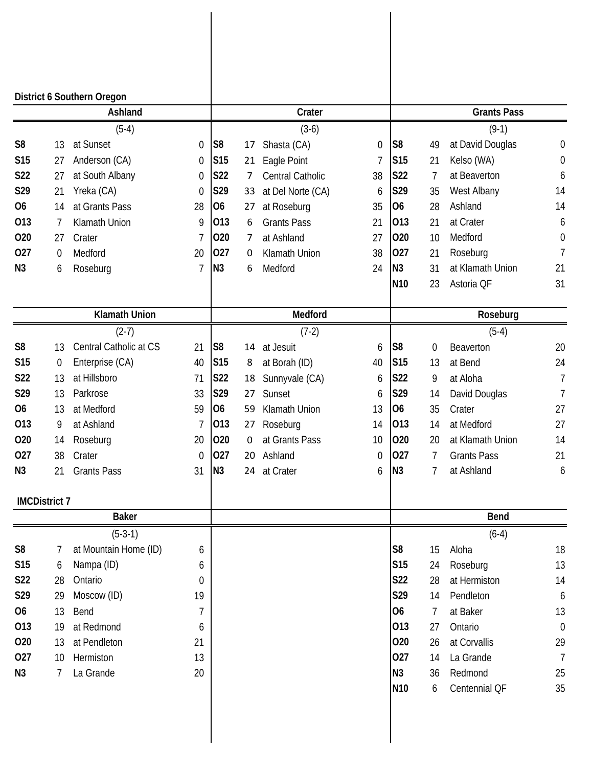|                |                      | District 6 Southern Oregon |                |                 |    |                      |    |                 |                  |                    |                  |
|----------------|----------------------|----------------------------|----------------|-----------------|----|----------------------|----|-----------------|------------------|--------------------|------------------|
|                |                      | Ashland                    |                |                 |    | Crater               |    |                 |                  | <b>Grants Pass</b> |                  |
|                |                      | $(5-4)$                    |                |                 |    | $(3-6)$              |    |                 |                  | $(9-1)$            |                  |
| S <sub>8</sub> | 13                   | at Sunset                  | 0              | S <sub>8</sub>  | 17 | Shasta (CA)          | 0  | S <sub>8</sub>  | 49               | at David Douglas   | $\mathbf 0$      |
| S15            | 27                   | Anderson (CA)              | $\mathbf 0$    | S <sub>15</sub> | 21 | Eagle Point          | 7  | <b>S15</b>      | 21               | Kelso (WA)         | $\boldsymbol{0}$ |
| S22            | 27                   | at South Albany            | 0              | S22             | 7  | Central Catholic     | 38 | S22             | 7                | at Beaverton       | 6                |
| S29            | 21                   | Yreka (CA)                 | $\theta$       | S29             | 33 | at Del Norte (CA)    | 6  | S29             | 35               | West Albany        | 14               |
| <b>O6</b>      | 14                   | at Grants Pass             | 28             | 06              | 27 | at Roseburg          | 35 | 06              | 28               | Ashland            | 14               |
| 013            | $\overline{1}$       | Klamath Union              | 9              | 013             | 6  | <b>Grants Pass</b>   | 21 | 013             | 21               | at Crater          | 6                |
| 020            | 27                   | Crater                     | 7              | 020             | 7  | at Ashland           | 27 | 020             | 10               | Medford            | $\boldsymbol{0}$ |
| 027            | 0                    | Medford                    | 20             | 027             | 0  | Klamath Union        | 38 | 027             | 21               | Roseburg           | 7                |
| N <sub>3</sub> | 6                    | Roseburg                   | $\overline{1}$ | N <sub>3</sub>  | 6  | Medford              | 24 | N3              | 31               | at Klamath Union   | 21               |
|                |                      |                            |                |                 |    |                      |    | N <sub>10</sub> | 23               | Astoria QF         | 31               |
|                |                      | <b>Klamath Union</b>       |                |                 |    | Medford              |    |                 |                  | Roseburg           |                  |
|                |                      | $(2-7)$                    |                |                 |    | $(7-2)$              |    |                 |                  | $(5-4)$            |                  |
| S <sub>8</sub> | 13                   | Central Catholic at CS     | 21             | S8              | 14 | at Jesuit            | 6  | S <sub>8</sub>  | $\boldsymbol{0}$ | Beaverton          | 20               |
| <b>S15</b>     | $\mathbf 0$          | Enterprise (CA)            | 40             | S <sub>15</sub> | 8  | at Borah (ID)        | 40 | <b>S15</b>      | 13               | at Bend            | 24               |
| <b>S22</b>     | 13                   | at Hillsboro               | 71             | <b>S22</b>      | 18 | Sunnyvale (CA)       | 6  | S22             | 9                | at Aloha           | 7                |
| S29            | 13                   | Parkrose                   | 33             | S29             | 27 | Sunset               | 6  | S29             | 14               | David Douglas      | 7                |
| <b>O6</b>      | 13                   | at Medford                 | 59             | O <sub>6</sub>  | 59 | <b>Klamath Union</b> | 13 | <b>O6</b>       | 35               | Crater             | 27               |
| 013            | 9                    | at Ashland                 | 7              | 013             | 27 | Roseburg             | 14 | 013             | 14               | at Medford         | 27               |
| 020            | 14                   | Roseburg                   | 20             | 020             | 0  | at Grants Pass       | 10 | 020             | 20               | at Klamath Union   | 14               |
| 027            | 38                   | Crater                     | $\mathbf 0$    | 027             | 20 | Ashland              | 0  | 027             | 7                | <b>Grants Pass</b> | 21               |
| N <sub>3</sub> | 21                   | <b>Grants Pass</b>         | 31             | N <sub>3</sub>  | 24 | at Crater            | 6  | N <sub>3</sub>  | 7                | at Ashland         | 6                |
|                | <b>IMCDistrict 7</b> |                            |                |                 |    |                      |    |                 |                  |                    |                  |
|                |                      | <b>Baker</b>               |                |                 |    |                      |    |                 |                  | <b>Bend</b>        |                  |
|                |                      | $(5-3-1)$                  |                |                 |    |                      |    |                 |                  | $(6-4)$            |                  |
| S <sub>8</sub> | 7                    | at Mountain Home (ID)      | 6              |                 |    |                      |    | S <sub>8</sub>  | 15               | Aloha              | 18               |
| <b>S15</b>     | 6                    | Nampa (ID)                 | 6              |                 |    |                      |    | S15             | 24               | Roseburg           | 13               |
| <b>S22</b>     | 28                   | Ontario                    | $\mathbf 0$    |                 |    |                      |    | S22             | 28               | at Hermiston       | 14               |
| S29            | 29                   | Moscow (ID)                | 19             |                 |    |                      |    | S29             | 14               | Pendleton          | $\boldsymbol{6}$ |
| 06             | 13                   | Bend                       | $\overline{1}$ |                 |    |                      |    | 06              | 7                | at Baker           | 13               |
| 013            | 19                   | at Redmond                 | 6              |                 |    |                      |    | 013             | 27               | Ontario            | $\mathbf 0$      |
| 020            | 13                   | at Pendleton               | 21             |                 |    |                      |    | 020             | 26               | at Corvallis       | 29               |
| 027            | 10                   | Hermiston                  | 13             |                 |    |                      |    | 027             | 14               | La Grande          | $\overline{7}$   |
| N <sub>3</sub> | 7                    | La Grande                  | 20             |                 |    |                      |    | N3              | 36               | Redmond            | 25               |
|                |                      |                            |                |                 |    |                      |    | N <sub>10</sub> | 6                | Centennial QF      | 35               |
|                |                      |                            |                |                 |    |                      |    |                 |                  |                    |                  |
|                |                      |                            |                |                 |    |                      |    |                 |                  |                    |                  |
|                |                      |                            |                |                 |    |                      |    |                 |                  |                    |                  |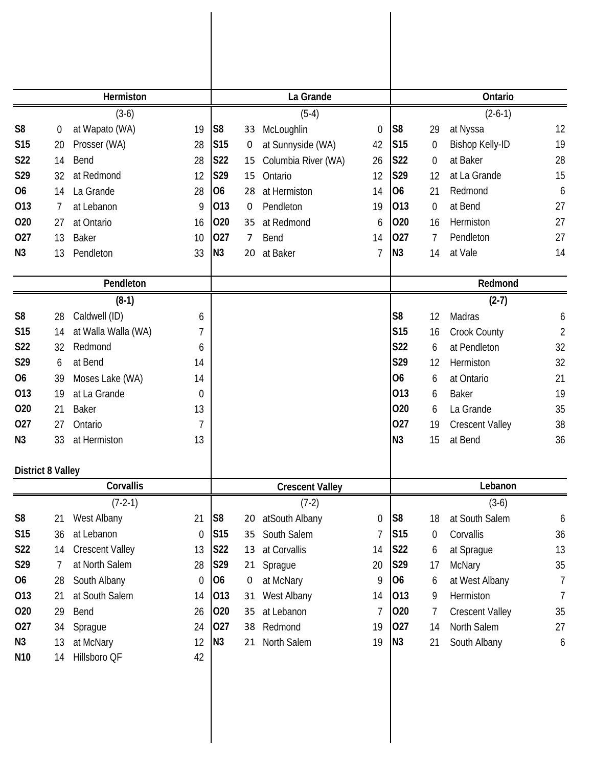|                          |                | Hermiston              |                  |                 |             | La Grande              |    |                 |                | Ontario                |                |
|--------------------------|----------------|------------------------|------------------|-----------------|-------------|------------------------|----|-----------------|----------------|------------------------|----------------|
|                          |                | $(3-6)$                |                  |                 |             | $(5-4)$                |    |                 |                | $(2-6-1)$              |                |
| S <sub>8</sub>           | 0              | at Wapato (WA)         | 19               | S <sub>8</sub>  | 33          | McLoughlin             | 0  | S <sub>8</sub>  | 29             | at Nyssa               | 12             |
| <b>S15</b>               | 20             | Prosser (WA)           | 28               | S <sub>15</sub> | 0           | at Sunnyside (WA)      | 42 | <b>S15</b>      | 0              | <b>Bishop Kelly-ID</b> | 19             |
| S22                      | 14             | Bend                   | 28               | S22             | 15          | Columbia River (WA)    | 26 | <b>S22</b>      | $\overline{0}$ | at Baker               | 28             |
| S29                      | 32             | at Redmond             | 12               | S29             | 15          | Ontario                | 12 | S29             | 12             | at La Grande           | 15             |
| 06                       | 14             | La Grande              | 28               | O <sub>6</sub>  | 28          | at Hermiston           | 14 | 06              | 21             | Redmond                | 6              |
| 013                      | 7              | at Lebanon             | 9                | 013             | $\mathbf 0$ | Pendleton              | 19 | 013             | 0              | at Bend                | 27             |
| 020                      | 27             | at Ontario             | 16               | 020             | 35          | at Redmond             | 6  | 020             | 16             | Hermiston              | 27             |
| 027                      | 13             | <b>Baker</b>           | 10               | 027             | 7           | Bend                   | 14 | 027             | 7              | Pendleton              | 27             |
| N <sub>3</sub>           | 13             | Pendleton              | 33               | N3              | 20          | at Baker               | 7  | N3              | 14             | at Vale                | 14             |
|                          |                | Pendleton              |                  |                 |             |                        |    |                 |                | Redmond                |                |
|                          |                | $(8-1)$                |                  |                 |             |                        |    |                 |                | $(2-7)$                |                |
| S <sub>8</sub>           | 28             | Caldwell (ID)          | 6                |                 |             |                        |    | S <sub>8</sub>  | 12             | Madras                 | 6              |
| <b>S15</b>               | 14             | at Walla Walla (WA)    | 7                |                 |             |                        |    | S <sub>15</sub> | 16             | Crook County           | $\overline{2}$ |
| S22                      | 32             | Redmond                | 6                |                 |             |                        |    | <b>S22</b>      | 6              | at Pendleton           | 32             |
| S29                      | 6              | at Bend                | 14               |                 |             |                        |    | S29             | 12             | Hermiston              | 32             |
| 06                       | 39             | Moses Lake (WA)        | 14               |                 |             |                        |    | O <sub>6</sub>  | 6              | at Ontario             | 21             |
| 013                      | 19             | at La Grande           | $\boldsymbol{0}$ |                 |             |                        |    | 013             | 6              | <b>Baker</b>           | 19             |
| 020                      | 21             | <b>Baker</b>           | 13               |                 |             |                        |    | 020             | 6              | La Grande              | 35             |
| 027                      | 27             | Ontario                | 7                |                 |             |                        |    | 027             | 19             | <b>Crescent Valley</b> | 38             |
| N <sub>3</sub>           | 33             | at Hermiston           | 13               |                 |             |                        |    | N <sub>3</sub>  | 15             | at Bend                | 36             |
| <b>District 8 Valley</b> |                |                        |                  |                 |             |                        |    |                 |                |                        |                |
|                          |                | Corvallis              |                  |                 |             | <b>Crescent Valley</b> |    |                 |                | Lebanon                |                |
|                          |                | $(7-2-1)$              |                  |                 |             | $(7-2)$                |    |                 |                | $(3-6)$                |                |
| S <sub>8</sub>           | 21             | West Albany            | 21               | S <sub>8</sub>  | 20          | atSouth Albany         | 0  | S <sub>8</sub>  | 18             | at South Salem         | 6              |
| <b>S15</b>               | 36             | at Lebanon             | $\boldsymbol{0}$ | S15             | 35          | South Salem            | 7  | <b>S15</b>      | 0              | Corvallis              | 36             |
| S22                      | 14             | <b>Crescent Valley</b> | 13               | S22             | 13          | at Corvallis           | 14 | <b>S22</b>      | 6              | at Sprague             | 13             |
| S29                      | $\overline{7}$ | at North Salem         | 28               | S29             | 21          | Sprague                | 20 | S29             | 17             | McNary                 | 35             |
| <b>O6</b>                | 28             | South Albany           | $\boldsymbol{0}$ | 06              | 0           | at McNary              | 9  | 06              | 6              | at West Albany         | $\overline{7}$ |
| 013                      | 21             | at South Salem         | 14               | 013             | 31          | West Albany            | 14 | 013             | 9              | Hermiston              | $\overline{7}$ |
| 020                      | 29             | Bend                   | 26               | 020             | 35          | at Lebanon             | 7  | 020             | 7              | <b>Crescent Valley</b> | 35             |
| 027                      | 34             | Sprague                | 24               | 027             | 38          | Redmond                | 19 | 027             | 14             | North Salem            | 27             |
| N <sub>3</sub>           | 13             | at McNary              | 12               | N3              | 21          | North Salem            | 19 | N3              | 21             | South Albany           | 6              |
| N <sub>10</sub>          | 14             | Hillsboro QF           | 42               |                 |             |                        |    |                 |                |                        |                |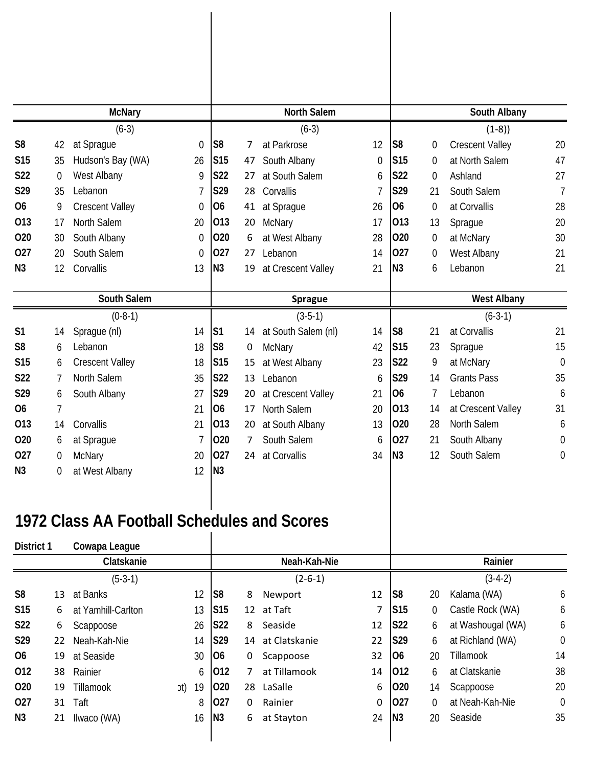|                |                | <b>McNary</b>                               |     |                |                 |    | North Salem         |          |                 |                  | South Albany           |                |
|----------------|----------------|---------------------------------------------|-----|----------------|-----------------|----|---------------------|----------|-----------------|------------------|------------------------|----------------|
|                |                | $(6-3)$                                     |     |                |                 |    | $(6-3)$             |          |                 |                  | $(1-8)$                |                |
| S <sub>8</sub> | 42             | at Sprague                                  |     | $\mathbf 0$    | S <sub>8</sub>  | 7  | at Parkrose         | 12       | S <sub>8</sub>  | 0                | <b>Crescent Valley</b> | 20             |
| <b>S15</b>     | 35             | Hudson's Bay (WA)                           |     | 26             | S <sub>15</sub> | 47 | South Albany        | $\theta$ | S <sub>15</sub> | 0                | at North Salem         | 47             |
| S22            | $\mathbf 0$    | West Albany                                 |     | 9              | <b>S22</b>      | 27 | at South Salem      | 6        | S22             | 0                | Ashland                | 27             |
| S29            | 35             | Lebanon                                     |     | 7              | S29             | 28 | Corvallis           | 7        | S29             | 21               | South Salem            | $\overline{1}$ |
| <b>O6</b>      | 9              | <b>Crescent Valley</b>                      |     | $\theta$       | O <sub>6</sub>  | 41 | at Sprague          | 26       | 06              | 0                | at Corvallis           | 28             |
| 013            | 17             | North Salem                                 |     | 20             | 013             | 20 | McNary              | 17       | 013             | 13               | Sprague                | 20             |
| 020            | 30             | South Albany                                |     | 0              | 020             | 6  | at West Albany      | 28       | 020             | 0                | at McNary              | 30             |
| 027            | 20             | South Salem                                 |     | $\overline{0}$ | 027             | 27 | Lebanon             | 14       | 027             | $\boldsymbol{0}$ | West Albany            | 21             |
| N <sub>3</sub> | 12             | Corvallis                                   |     | 13             | N <sub>3</sub>  | 19 | at Crescent Valley  | 21       | N <sub>3</sub>  | 6                | Lebanon                | 21             |
|                |                |                                             |     |                |                 |    |                     |          |                 |                  |                        |                |
|                |                | South Salem                                 |     |                |                 |    | <b>Sprague</b>      |          |                 |                  | <b>West Albany</b>     |                |
|                |                | $(0-8-1)$                                   |     |                |                 |    | $(3-5-1)$           |          |                 |                  | $(6-3-1)$              |                |
| S <sub>1</sub> | 14             | Sprague (nl)                                |     | 14             | S <sub>1</sub>  | 14 | at South Salem (nl) | 14       | S8              | 21               | at Corvallis           | 21             |
| S <sub>8</sub> | 6              | Lebanon                                     |     | 18             | S <sub>8</sub>  | 0  | <b>McNary</b>       | 42       | <b>S15</b>      | 23               | Sprague                | 15             |
| S15            | 6              | <b>Crescent Valley</b>                      |     | 18             | S <sub>15</sub> | 15 | at West Albany      | 23       | S22             | 9                | at McNary              | $\mathbf 0$    |
| <b>S22</b>     | $\overline{7}$ | North Salem                                 |     | 35             | <b>S22</b>      | 13 | Lebanon             | 6        | S29             | 14               | <b>Grants Pass</b>     | 35             |
| S29            | 6              | South Albany                                |     | 27             | S29             | 20 | at Crescent Valley  | 21       | O <sub>6</sub>  | 7                | Lebanon                | 6              |
| <b>O6</b>      | $\overline{1}$ |                                             |     | 21             | O <sub>6</sub>  | 17 | North Salem         | 20       | 013             | 14               | at Crescent Valley     | 31             |
| 013            | 14             | Corvallis                                   |     | 21             | 013             | 20 | at South Albany     | 13       | 020             | 28               | North Salem            | 6              |
| 020            | 6              | at Sprague                                  |     |                | 020             | 7  | South Salem         | 6        | 027             | 21               | South Albany           | 0              |
| 027            | 0              | McNary                                      |     | 20             | 027             | 24 | at Corvallis        | 34       | N <sub>3</sub>  | 12               | South Salem            | 0              |
| N3             | 0              | at West Albany                              |     | 12             | IN <sub>3</sub> |    |                     |          |                 |                  |                        |                |
|                |                |                                             |     |                |                 |    |                     |          |                 |                  |                        |                |
|                |                |                                             |     |                |                 |    |                     |          |                 |                  |                        |                |
|                |                | 1972 Class AA Football Schedules and Scores |     |                |                 |    |                     |          |                 |                  |                        |                |
| District 1     |                | Cowapa League                               |     |                |                 |    |                     |          |                 |                  |                        |                |
|                |                | Clatskanie                                  |     |                |                 |    | Neah-Kah-Nie        |          |                 |                  | Rainier                |                |
|                |                | $(5-3-1)$                                   |     |                |                 |    | $(2-6-1)$           |          |                 |                  | $(3-4-2)$              |                |
| S <sub>8</sub> | 13             | at Banks                                    |     | 12             | S <sub>8</sub>  | 8  | Newport             | 12       | S8              | 20               | Kalama (WA)            | 6              |
| S15            | 6              | at Yamhill-Carlton                          |     | 13             | S <sub>15</sub> | 12 | at Taft             | 7        | S <sub>15</sub> | $\Omega$         | Castle Rock (WA)       | 6              |
| S22            | 6              | Scappoose                                   |     | 26             | <b>S22</b>      | 8  | Seaside             | 12       | <b>S22</b>      | 6                | at Washougal (WA)      | 6              |
| S29            | 22             | Neah-Kah-Nie                                |     | 14             | S29             | 14 | at Clatskanie       | 22       | S29             | 6                | at Richland (WA)       | $\mathbf 0$    |
| 06             | 19             | at Seaside                                  |     | 30             | 06              | 0  | Scappoose           | 32       | O <sub>6</sub>  | 20               | Tillamook              | 14             |
| 012            | 38             | Rainier                                     |     | 6              | 012             | 7  | at Tillamook        | 14       | 012             | 6                | at Clatskanie          | 38             |
| 020            | 19             | Tillamook                                   | (fc | 19             | 020             | 28 | LaSalle             | 6        | 020             | 14               | Scappoose              | 20             |
| 027            | 31             | Taft                                        |     | 8              | 027             | 0  | Rainier             | 0        | 027             | $\Omega$         | at Neah-Kah-Nie        | $\mathbf 0$    |
| N <sub>3</sub> | 21             | Ilwaco (WA)                                 |     | 16             | N <sub>3</sub>  | 6  | at Stayton          | 24       | N <sub>3</sub>  | 20               | Seaside                | 35             |
|                |                |                                             |     |                |                 |    |                     |          |                 |                  |                        |                |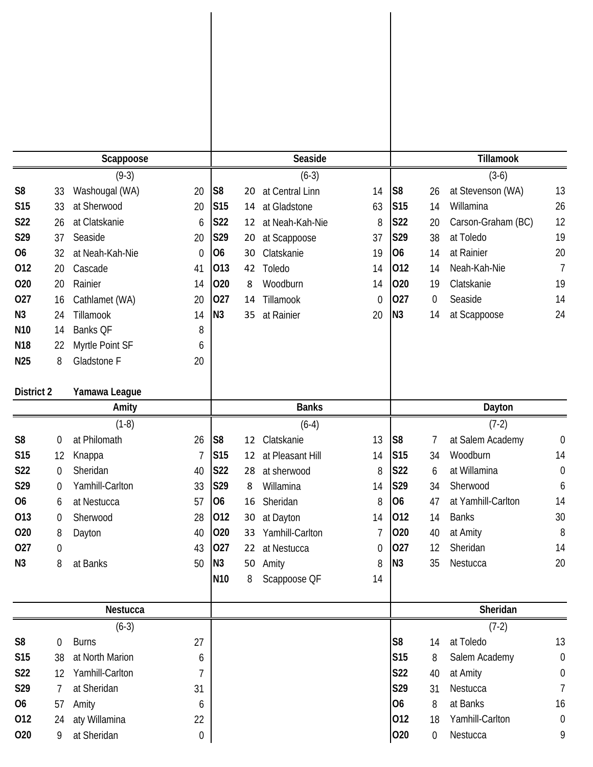|                 |                  | Scappoose                    |         |                 |                 | Seaside          |    |                 |                   | Tillamook                   |                       |
|-----------------|------------------|------------------------------|---------|-----------------|-----------------|------------------|----|-----------------|-------------------|-----------------------------|-----------------------|
|                 |                  | $(9-3)$                      |         |                 |                 | $(6-3)$          |    |                 |                   | $(3-6)$                     |                       |
| S <sub>8</sub>  | 33               | Washougal (WA)               | 20      | S <sub>8</sub>  | 20              | at Central Linn  | 14 | S <sub>8</sub>  | 26                | at Stevenson (WA)           | 13                    |
| <b>S15</b>      | 33               | at Sherwood                  | 20      | S <sub>15</sub> | 14              | at Gladstone     | 63 | S <sub>15</sub> | 14                | Willamina                   | 26                    |
| S22             | 26               | at Clatskanie                | 6       | S22             | 12              | at Neah-Kah-Nie  | 8  | <b>S22</b>      | 20                | Carson-Graham (BC)          | 12                    |
| S29             | 37               | Seaside                      | 20      | S29             | 20              | at Scappoose     | 37 | S29             | 38                | at Toledo                   | 19                    |
| 06              | 32               | at Neah-Kah-Nie              | 0       | 06              | 30              | Clatskanie       | 19 | <b>O6</b>       | 14                | at Rainier                  | 20                    |
| 012             | 20               | Cascade                      | 41      | 013             | 42              | Toledo           | 14 | 012             | 14                | Neah-Kah-Nie                | $\overline{7}$        |
| 020             | 20               | Rainier                      | 14      | 020             | 8               | Woodburn         | 14 | 020             | 19                | Clatskanie                  | 19                    |
| 027             | 16               | Cathlamet (WA)               | 20      | 027             | 14              | Tillamook        | 0  | 027             | 0                 | Seaside                     | 14                    |
| N3              | 24               | Tillamook                    | 14      | N <sub>3</sub>  | 35              | at Rainier       | 20 | N <sub>3</sub>  | 14                | at Scappoose                | 24                    |
| N <sub>10</sub> | 14               | Banks QF                     | 8       |                 |                 |                  |    |                 |                   |                             |                       |
| N <sub>18</sub> | 22               | Myrtle Point SF              | 6       |                 |                 |                  |    |                 |                   |                             |                       |
| N <sub>25</sub> | 8                | Gladstone F                  | 20      |                 |                 |                  |    |                 |                   |                             |                       |
|                 |                  |                              |         |                 |                 |                  |    |                 |                   |                             |                       |
| District 2      |                  | Yamawa League                |         |                 |                 |                  |    |                 |                   |                             |                       |
|                 |                  | Amity                        |         |                 |                 | <b>Banks</b>     |    |                 |                   | Dayton                      |                       |
|                 |                  | $(1-8)$                      |         |                 |                 | $(6-4)$          |    |                 |                   | $(7-2)$                     |                       |
| S <sub>8</sub>  | $\overline{0}$   | at Philomath                 | 26      | S <sub>8</sub>  | 12 <sub>2</sub> | Clatskanie       | 13 | S8              | 7                 | at Salem Academy            | 0                     |
| S15             | 12               | Knappa                       | 7       | S <sub>15</sub> | 12              | at Pleasant Hill | 14 | S15             | 34                | Woodburn                    | 14                    |
| S22             | 0                | Sheridan                     | 40      | <b>S22</b>      |                 | 28 at sherwood   | 8  | S22             | 6                 | at Willamina                | $\mathbf 0$           |
| S29             | 0                | Yamhill-Carlton              | 33      | S29             | 8               | Willamina        | 14 | S29             | 34                | Sherwood                    | 6                     |
| 06              | 6                | at Nestucca                  | 57      | 06              | 16              | Sheridan         | 8  | 06              | 47                | at Yamhill-Carlton          | 14                    |
| 013             | 0                | Sherwood                     | 28      | 012             | 30              | at Dayton        | 14 | 012             | 14                | <b>Banks</b>                | 30                    |
| 020             | 8                | Dayton                       | 40      | 020             | 33              | Yamhill-Carlton  | 7  | 020             | 40                | at Amity                    | 8                     |
| 027             | $\boldsymbol{0}$ |                              | 43      | 027             |                 | 22 at Nestucca   | 0  | 027             | 12                | Sheridan                    | 14                    |
| N3              | 8                | at Banks                     | 50      | N3              |                 | 50 Amity         | 8  | N3              | 35                | Nestucca                    | 20                    |
|                 |                  |                              |         | N <sub>10</sub> | 8               | Scappoose QF     | 14 |                 |                   |                             |                       |
|                 |                  | Nestucca                     |         |                 |                 |                  |    |                 |                   | Sheridan                    |                       |
|                 |                  | $(6-3)$                      |         |                 |                 |                  |    |                 |                   | $(7-2)$                     |                       |
| S <sub>8</sub>  | 0                | <b>Burns</b>                 | 27      |                 |                 |                  |    | S <sub>8</sub>  | 14                | at Toledo                   | 13                    |
| <b>S15</b>      | 38               | at North Marion              | 6       |                 |                 |                  |    | S <sub>15</sub> | 8                 | Salem Academy               | $\boldsymbol{0}$      |
| S22             | 12               | Yamhill-Carlton              | 7       |                 |                 |                  |    | S22             | 40                | at Amity                    | $\boldsymbol{0}$      |
| S29             | 7                | at Sheridan                  | 31      |                 |                 |                  |    | S29             | 31                | Nestucca                    | 7                     |
| 06              | 57               | Amity                        | 6       |                 |                 |                  |    | <b>O6</b>       | 8                 | at Banks                    | 16                    |
| 012<br>020      | 24<br>9          | aty Willamina<br>at Sheridan | 22<br>0 |                 |                 |                  |    | 012<br>020      | 18<br>$\mathbf 0$ | Yamhill-Carlton<br>Nestucca | $\boldsymbol{0}$<br>9 |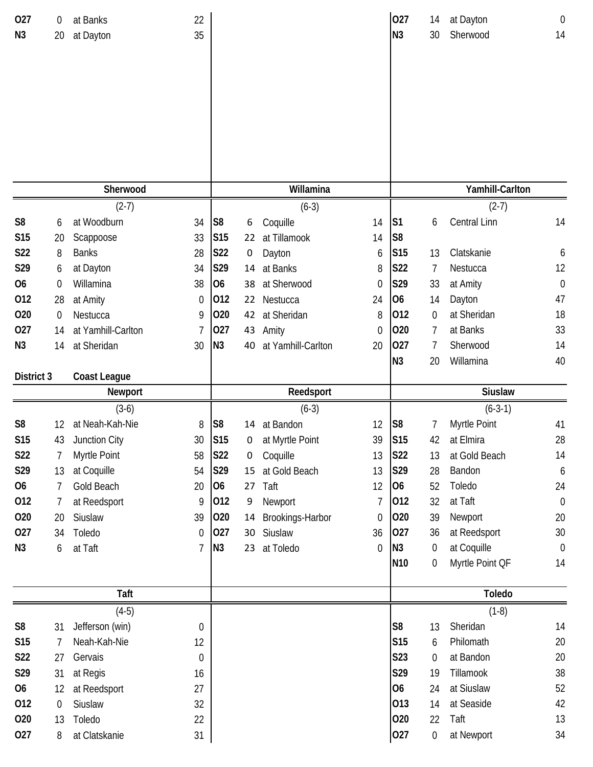| 027<br>N <sub>3</sub> | 0<br>20                | at Banks<br>at Dayton           | 22<br>35               |                 |                 |                             |        | 027<br>N <sub>3</sub> | 14<br>30 | at Dayton<br>Sherwood   | $\theta$<br>14   |
|-----------------------|------------------------|---------------------------------|------------------------|-----------------|-----------------|-----------------------------|--------|-----------------------|----------|-------------------------|------------------|
|                       |                        |                                 |                        |                 |                 |                             |        |                       |          |                         |                  |
|                       |                        |                                 |                        |                 |                 |                             |        |                       |          |                         |                  |
|                       |                        |                                 |                        |                 |                 |                             |        |                       |          |                         |                  |
|                       |                        | Sherwood                        |                        |                 |                 | Willamina                   |        |                       |          | Yamhill-Carlton         |                  |
|                       |                        | $(2-7)$                         |                        |                 |                 | $(6-3)$                     |        |                       |          | $(2-7)$                 |                  |
| S <sub>8</sub>        | 6                      | at Woodburn                     | 34                     | S <sub>8</sub>  | 6               | Coquille                    | 14     | S <sub>1</sub>        | 6        | Central Linn            | 14               |
| <b>S15</b>            | 20                     | Scappoose                       | 33                     | S <sub>15</sub> | 22              | at Tillamook                | 14     | S <sub>8</sub>        |          |                         |                  |
| <b>S22</b>            | 8                      | <b>Banks</b>                    | 28                     | <b>S22</b>      | 0               | Dayton                      | 6      | <b>S15</b>            | 13       | Clatskanie              | 6                |
| S29                   | 6                      | at Dayton                       | 34                     | S29             | 14              | at Banks                    | 8      | S22                   | 7        | Nestucca                | 12               |
| 06                    | 0                      | Willamina                       | 38                     | <b>O6</b>       | 38              | at Sherwood                 | 0      | S29                   | 33       | at Amity                | $\theta$         |
| 012                   | 28                     | at Amity                        | $\boldsymbol{0}$       | 012<br>020      | 22              | Nestucca                    | 24     | O <sub>6</sub><br>012 | 14       | Dayton                  | 47<br>18         |
| 020<br>027            | $\boldsymbol{0}$<br>14 | Nestucca<br>at Yamhill-Carlton  | 9<br>7                 | 027             | 43              | 42 at Sheridan              | 8<br>0 | 020                   | 0<br>7   | at Sheridan<br>at Banks | 33               |
| N <sub>3</sub>        | 14                     | at Sheridan                     | 30                     | N <sub>3</sub>  | 40              | Amity<br>at Yamhill-Carlton | 20     | 027                   | 7        | Sherwood                | 14               |
|                       |                        |                                 |                        |                 |                 |                             |        | N <sub>3</sub>        | 20       | Willamina               | 40               |
| District 3            |                        | <b>Coast League</b>             |                        |                 |                 |                             |        |                       |          |                         |                  |
|                       |                        |                                 |                        |                 |                 |                             |        |                       |          |                         |                  |
|                       |                        | Newport                         |                        |                 |                 | Reedsport                   |        |                       |          | <b>Siuslaw</b>          |                  |
|                       |                        | $(3-6)$                         |                        |                 |                 | $(6-3)$                     |        |                       |          | $(6-3-1)$               |                  |
| S <sub>8</sub>        | 12                     | at Neah-Kah-Nie                 | 8                      | S <sub>8</sub>  |                 | 14 at Bandon                | 12     | S <sub>8</sub>        | 7        | Myrtle Point            | 41               |
| S15                   | 43                     | Junction City                   | 30                     | <b>S15</b>      | 0               | at Myrtle Point             | 39     | <b>S15</b>            | 42       | at Elmira               | 28               |
| S22                   | 7                      | Myrtle Point                    | 58                     | <b>S22</b>      | 0               | Coquille                    | 13     | <b>S22</b>            | 13       | at Gold Beach           | 14               |
| S29                   | 13                     | at Coquille                     | 54                     | S29             | 15              | at Gold Beach               | 13     | S29                   | 28       | Bandon                  | 6                |
| 06                    | 7                      | Gold Beach                      | 20                     | 06              | 27              | Taft                        | 12     | 06                    | 52       | Toledo                  | 24               |
| 012                   | 7                      | at Reedsport                    | 9                      | 012             | 9               | Newport                     | 7      | 012                   | 32       | at Taft                 | $\boldsymbol{0}$ |
| 020                   | 20                     | Siuslaw                         | 39                     | 020             | 14              | Brookings-Harbor            | 0      | 020                   | 39       | Newport                 | 20               |
| 027                   | 34                     | Toledo                          | 0                      | 027             | 30 <sub>o</sub> | Siuslaw                     | 36     | 027                   | 36       | at Reedsport            | 30               |
| N3                    | 6                      | at Taft                         | 7                      | N3              | 23              | at Toledo                   | 0      | N3                    | 0        | at Coquille             | $\boldsymbol{0}$ |
|                       |                        |                                 |                        |                 |                 |                             |        | N <sub>10</sub>       | 0        | Myrtle Point QF         | 14               |
|                       |                        |                                 |                        |                 |                 |                             |        |                       |          |                         |                  |
|                       |                        | Taft                            |                        |                 |                 |                             |        |                       |          | <b>Toledo</b>           |                  |
|                       |                        | $(4-5)$                         |                        |                 |                 |                             |        | S <sub>8</sub>        |          | $(1-8)$                 |                  |
| S <sub>8</sub><br>S15 | 31<br>7                | Jefferson (win)<br>Neah-Kah-Nie | $\boldsymbol{0}$<br>12 |                 |                 |                             |        | S15                   | 13<br>6  | Sheridan<br>Philomath   | 14<br>$20\,$     |
| S22                   | 27                     | Gervais                         | $\boldsymbol{0}$       |                 |                 |                             |        | S23                   | 0        | at Bandon               | 20               |
| S29                   | 31                     | at Regis                        | 16                     |                 |                 |                             |        | S29                   | 19       | Tillamook               | 38               |
| <b>O6</b>             | 12                     | at Reedsport                    | 27                     |                 |                 |                             |        | <b>O6</b>             | 24       | at Siuslaw              | 52               |
| 012                   | $\boldsymbol{0}$       | Siuslaw                         | 32                     |                 |                 |                             |        | 013                   | 14       | at Seaside              | 42               |
| 020<br>027            | 13                     | Toledo                          | 22                     |                 |                 |                             |        | 020<br>027            | 22       | Taft<br>at Newport      | 13<br>34         |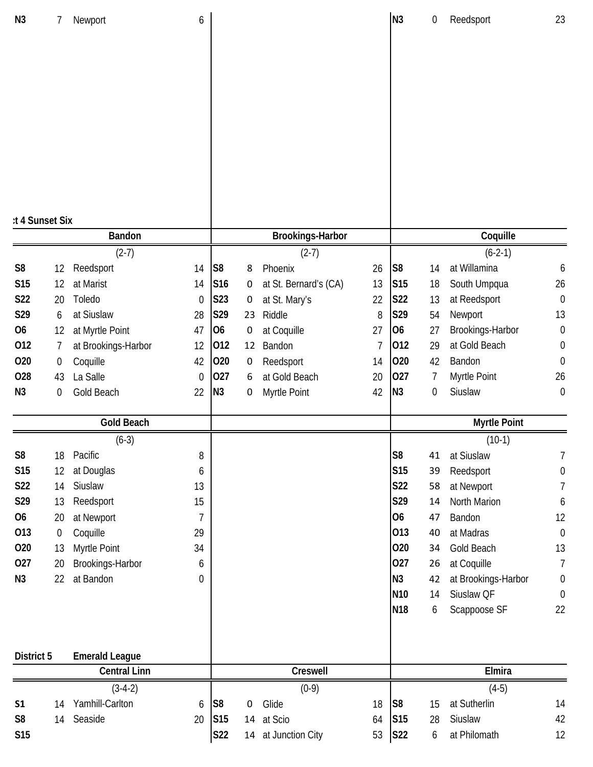| N <sub>3</sub>  | 7                | Newport               | 6                |                 |           |                         |    | N <sub>3</sub>                     | 0       | Reedsport                         | 23                     |
|-----------------|------------------|-----------------------|------------------|-----------------|-----------|-------------------------|----|------------------------------------|---------|-----------------------------------|------------------------|
|                 |                  |                       |                  |                 |           |                         |    |                                    |         |                                   |                        |
|                 |                  |                       |                  |                 |           |                         |    |                                    |         |                                   |                        |
|                 |                  |                       |                  |                 |           |                         |    |                                    |         |                                   |                        |
|                 |                  |                       |                  |                 |           |                         |    |                                    |         |                                   |                        |
|                 |                  |                       |                  |                 |           |                         |    |                                    |         |                                   |                        |
|                 |                  |                       |                  |                 |           |                         |    |                                    |         |                                   |                        |
|                 |                  |                       |                  |                 |           |                         |    |                                    |         |                                   |                        |
|                 |                  |                       |                  |                 |           |                         |    |                                    |         |                                   |                        |
|                 |                  |                       |                  |                 |           |                         |    |                                    |         |                                   |                        |
| :t 4 Sunset Six |                  | Bandon                |                  |                 |           | <b>Brookings-Harbor</b> |    |                                    |         | Coquille                          |                        |
|                 |                  | $(2-7)$               |                  |                 |           | $(2-7)$                 |    |                                    |         | $(6-2-1)$                         |                        |
| S <sub>8</sub>  | 12               | Reedsport             | 14               | S <sub>8</sub>  | 8         | Phoenix                 | 26 | S <sub>8</sub>                     | 14      | at Willamina                      | 6                      |
| <b>S15</b>      | 12               | at Marist             | 14               | S16             | 0         | at St. Bernard's (CA)   | 13 | S15                                | 18      | South Umpqua                      | 26                     |
| S22             | 20               | Toledo                | $\mathbf 0$      | S23             | 0         | at St. Mary's           | 22 | <b>S22</b>                         | 13      | at Reedsport                      | $\boldsymbol{0}$       |
| S29             | 6                | at Siuslaw            | 28               | S29             | 23        | Riddle                  | 8  | S29                                | 54      | Newport                           | 13                     |
| O <sub>6</sub>  | 12               | at Myrtle Point       | 47               | <b>O6</b>       | 0         | at Coquille             | 27 | <b>O6</b>                          | 27      | Brookings-Harbor                  | $\boldsymbol{0}$       |
| 012             | 7                | at Brookings-Harbor   | 12               | 012             | 12        | Bandon                  | 7  | 012                                | 29      | at Gold Beach                     | 0                      |
| 020             | $\boldsymbol{0}$ | Coquille              | 42               | 020             | 0         | Reedsport               | 14 | 020                                | 42      | Bandon                            | $\boldsymbol{0}$       |
| 028             | 43               | La Salle              | $\mathbf{0}$     | 027             | 6         | at Gold Beach           | 20 | 027                                | 7       | Myrtle Point                      | 26                     |
| N <sub>3</sub>  | $\boldsymbol{0}$ | Gold Beach            | 22               | N <sub>3</sub>  | 0         | Myrtle Point            | 42 | N <sub>3</sub>                     | 0       | Siuslaw                           | $\boldsymbol{0}$       |
|                 |                  | <b>Gold Beach</b>     |                  |                 |           |                         |    |                                    |         | <b>Myrtle Point</b>               |                        |
|                 |                  | $(6-3)$               |                  |                 |           |                         |    |                                    |         | $(10-1)$                          |                        |
| S <sub>8</sub>  | 18               | Pacific               | 8                |                 |           |                         |    | S <sub>8</sub>                     | 41      | at Siuslaw                        | 7                      |
| <b>S15</b>      | 12               | at Douglas            | 6                |                 |           |                         |    | S <sub>15</sub>                    | 39      | Reedsport                         | 0                      |
| S22             | 14               | Siuslaw               | 13               |                 |           |                         |    | S22                                | 58      | at Newport                        | 7                      |
| S29             | 13               | Reedsport             | 15               |                 |           |                         |    | S29                                | 14      | North Marion                      | 6                      |
| 06              | 20               | at Newport            | $\overline{7}$   |                 |           |                         |    | 06                                 | 47      | Bandon                            | 12                     |
| 013             | $\boldsymbol{0}$ | Coquille              | 29               |                 |           |                         |    | 013                                | 40      | at Madras                         | $\boldsymbol{0}$       |
| 020             | 13               | Myrtle Point          | 34               |                 |           |                         |    | 020                                | 34      | <b>Gold Beach</b>                 | 13                     |
| 027             | 20               | Brookings-Harbor      | 6                |                 |           |                         |    | 027                                | 26      | at Coquille                       | 7                      |
| N <sub>3</sub>  | 22               | at Bandon             | $\boldsymbol{0}$ |                 |           |                         |    | N3                                 | 42      | at Brookings-Harbor<br>Siuslaw QF | 0                      |
|                 |                  |                       |                  |                 |           |                         |    | N <sub>10</sub><br>N <sub>18</sub> | 14<br>6 | Scappoose SF                      | $\boldsymbol{0}$<br>22 |
|                 |                  |                       |                  |                 |           |                         |    |                                    |         |                                   |                        |
| District 5      |                  | <b>Emerald League</b> |                  |                 |           |                         |    |                                    |         |                                   |                        |
|                 |                  | <b>Central Linn</b>   |                  |                 |           | Creswell                |    |                                    |         | Elmira                            |                        |
|                 |                  | $(3-4-2)$             |                  |                 |           | $(0-9)$                 |    |                                    |         | $(4-5)$                           |                        |
| S <sub>1</sub>  | 14               | Yamhill-Carlton       | 6                | S <sub>8</sub>  | $\pmb{0}$ | Glide                   | 18 | S <sub>8</sub>                     | 15      | at Sutherlin                      | 14                     |
| S <sub>8</sub>  | 14               | Seaside               | 20               | S <sub>15</sub> | 14        | at Scio                 | 64 | S <sub>15</sub>                    | 28      | Siuslaw                           | 42                     |
| <b>S15</b>      |                  |                       |                  | <b>S22</b>      | 14        | at Junction City        | 53 | <b>S22</b>                         | 6       | at Philomath                      | 12                     |
|                 |                  |                       |                  |                 |           |                         |    |                                    |         |                                   |                        |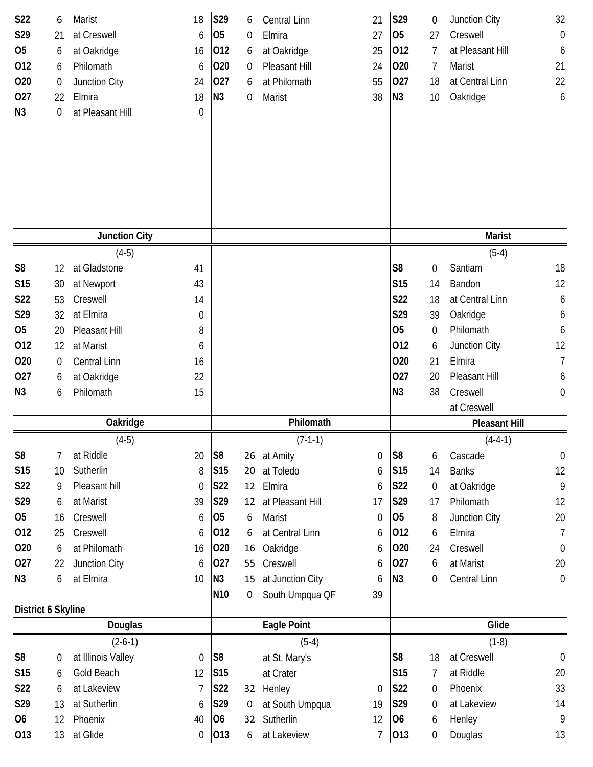| S22<br>S29<br><b>O5</b><br>012<br>020<br>027<br>N3 | 6<br>21<br>6<br>6<br>$\boldsymbol{0}$<br>22<br>0 | Marist<br>at Creswell<br>at Oakridge<br>Philomath<br>Junction City<br>Elmira<br>at Pleasant Hill | 18<br>6<br>16<br>6<br>24<br>18<br>$\mathbf 0$ | S29<br>O <sub>5</sub><br>012<br>020<br>027<br>N3 | 6<br>0<br>6<br>0<br>6<br>0 | Central Linn<br>Elmira<br>at Oakridge<br>Pleasant Hill<br>at Philomath<br>Marist | 21<br>27<br>25<br>24<br>55<br>38 | S29<br>05<br>012<br>020<br>027<br>N3 | 0<br>27<br>7<br>7<br>18<br>10 | Junction City<br>Creswell<br>at Pleasant Hill<br>Marist<br>at Central Linn<br>Oakridge | 32<br>$\boldsymbol{0}$<br>6<br>21<br>22<br>6 |
|----------------------------------------------------|--------------------------------------------------|--------------------------------------------------------------------------------------------------|-----------------------------------------------|--------------------------------------------------|----------------------------|----------------------------------------------------------------------------------|----------------------------------|--------------------------------------|-------------------------------|----------------------------------------------------------------------------------------|----------------------------------------------|
|                                                    |                                                  | <b>Junction City</b>                                                                             |                                               |                                                  |                            |                                                                                  |                                  |                                      |                               | <b>Marist</b>                                                                          |                                              |
|                                                    |                                                  | $(4-5)$                                                                                          |                                               |                                                  |                            |                                                                                  |                                  |                                      |                               | $(5-4)$                                                                                |                                              |
| S <sub>8</sub><br>S <sub>15</sub>                  | 12                                               | at Gladstone<br>at Newport                                                                       | 41<br>43                                      |                                                  |                            |                                                                                  |                                  | S <sub>8</sub><br><b>S15</b>         | $\boldsymbol{0}$<br>14        | Santiam<br>Bandon                                                                      | 18<br>12                                     |
| S22                                                | 30<br>53                                         | Creswell                                                                                         | 14                                            |                                                  |                            |                                                                                  |                                  | S22                                  | 18                            | at Central Linn                                                                        | 6                                            |
| S29                                                | 32                                               | at Elmira                                                                                        | 0                                             |                                                  |                            |                                                                                  |                                  | S29                                  | 39                            | Oakridge                                                                               | 6                                            |
| 05                                                 | 20                                               | Pleasant Hill                                                                                    | 8                                             |                                                  |                            |                                                                                  |                                  | 05                                   | 0                             | Philomath                                                                              | 6                                            |
| 012                                                | 12                                               | at Marist                                                                                        | 6                                             |                                                  |                            |                                                                                  |                                  | 012                                  | 6                             | Junction City                                                                          | 12                                           |
| 020                                                | $\boldsymbol{0}$                                 | <b>Central Linn</b>                                                                              | 16                                            |                                                  |                            |                                                                                  |                                  | 020                                  | 21                            | Elmira                                                                                 | $\overline{1}$                               |
| 027                                                | 6                                                | at Oakridge                                                                                      | 22                                            |                                                  |                            |                                                                                  |                                  | 027                                  | 20                            | Pleasant Hill                                                                          | 6                                            |
| N <sub>3</sub>                                     | 6                                                | Philomath                                                                                        | 15                                            |                                                  |                            |                                                                                  |                                  | N3                                   | 38                            | Creswell                                                                               | $\boldsymbol{0}$                             |
|                                                    |                                                  |                                                                                                  |                                               |                                                  |                            |                                                                                  |                                  |                                      |                               | at Creswell                                                                            |                                              |
|                                                    |                                                  | Oakridge                                                                                         |                                               |                                                  |                            | Philomath                                                                        |                                  |                                      |                               | <b>Pleasant Hill</b>                                                                   |                                              |
|                                                    |                                                  | $(4-5)$                                                                                          |                                               |                                                  |                            | $(7-1-1)$                                                                        |                                  |                                      |                               | $(4-4-1)$                                                                              |                                              |
| S <sub>8</sub>                                     | 7                                                | at Riddle                                                                                        | 20                                            | S <sub>8</sub>                                   |                            | 26 at Amity                                                                      | 0                                | S <sub>8</sub>                       | 6                             | Cascade                                                                                | $\boldsymbol{0}$                             |
| <b>S15</b>                                         | 10                                               | Sutherlin                                                                                        | 8                                             | S15                                              | 20                         | at Toledo                                                                        | 6                                | S <sub>15</sub>                      | 14                            | <b>Banks</b>                                                                           | 12                                           |
| <b>S22</b>                                         | 9                                                | Pleasant hill                                                                                    | $\mathbf 0$                                   | <b>S22</b>                                       | 12                         | Elmira                                                                           | 6                                | <b>S22</b>                           | $\overline{0}$                | at Oakridge                                                                            | $\overline{9}$                               |
| S29                                                | 6                                                | at Marist                                                                                        | 39                                            | S29                                              | 12                         | at Pleasant Hill                                                                 | 17                               | S29                                  | 17                            | Philomath                                                                              | 12                                           |
| 05                                                 | 16                                               | Creswell                                                                                         | 6                                             | O <sub>5</sub>                                   | 6                          | Marist                                                                           | $\theta$                         | 05                                   | 8                             | Junction City                                                                          | $20\,$                                       |
| 012                                                | 25                                               | Creswell                                                                                         | 6                                             | 012                                              | 6                          | at Central Linn                                                                  | 6                                | 012                                  | 6                             | Elmira                                                                                 | 7                                            |
| 020                                                | 6                                                | at Philomath                                                                                     | 16                                            | 020                                              | 16                         | Oakridge                                                                         | 6                                | 020                                  | 24                            | Creswell                                                                               | $\theta$                                     |
| 027                                                | 22                                               | Junction City                                                                                    | 6                                             | 027                                              | 55                         | Creswell                                                                         | 6                                | 027                                  | 6                             | at Marist                                                                              | 20                                           |
| N <sub>3</sub>                                     | 6                                                | at Elmira                                                                                        | 10                                            | N3                                               | 15                         | at Junction City                                                                 | 6                                | N3                                   | 0                             | Central Linn                                                                           | $\boldsymbol{0}$                             |
|                                                    |                                                  |                                                                                                  |                                               | N <sub>10</sub>                                  | 0                          | South Umpqua QF                                                                  | 39                               |                                      |                               |                                                                                        |                                              |
| District 6 Skyline                                 |                                                  | Douglas                                                                                          |                                               |                                                  |                            | <b>Eagle Point</b>                                                               |                                  |                                      |                               | Glide                                                                                  |                                              |
|                                                    |                                                  | $(2-6-1)$                                                                                        |                                               |                                                  |                            | $(5-4)$                                                                          |                                  |                                      |                               | $(1-8)$                                                                                |                                              |
| S <sub>8</sub>                                     | 0                                                | at Illinois Valley                                                                               | $\mathbf 0$                                   | S <sub>8</sub>                                   |                            | at St. Mary's                                                                    |                                  | S <sub>8</sub>                       | 18                            | at Creswell                                                                            | $\boldsymbol{0}$                             |
| <b>S15</b>                                         | 6                                                | Gold Beach                                                                                       | 12                                            | <b>S15</b>                                       |                            | at Crater                                                                        |                                  | <b>S15</b>                           | 7                             | at Riddle                                                                              | 20                                           |
| <b>S22</b>                                         | 6                                                | at Lakeview                                                                                      | $\overline{7}$                                | S22                                              |                            | 32 Henley                                                                        | $\mathbf 0$                      | <b>S22</b>                           | $\boldsymbol{0}$              | Phoenix                                                                                | 33                                           |
| S29                                                | 13                                               | at Sutherlin                                                                                     | 6                                             | S29                                              | 0                          | at South Umpqua                                                                  | 19                               | S29                                  | 0                             | at Lakeview                                                                            | 14                                           |
| 06                                                 | 12                                               | Phoenix                                                                                          | 40                                            | 06                                               | 32                         | Sutherlin                                                                        | 12                               | 06                                   | 6                             | Henley                                                                                 | 9                                            |
| 013                                                | 13                                               | at Glide                                                                                         | 0                                             | 013                                              | 6                          | at Lakeview                                                                      | $\overline{1}$                   | 013                                  | $\boldsymbol{0}$              | Douglas                                                                                | 13                                           |
|                                                    |                                                  |                                                                                                  |                                               |                                                  |                            |                                                                                  |                                  |                                      |                               |                                                                                        |                                              |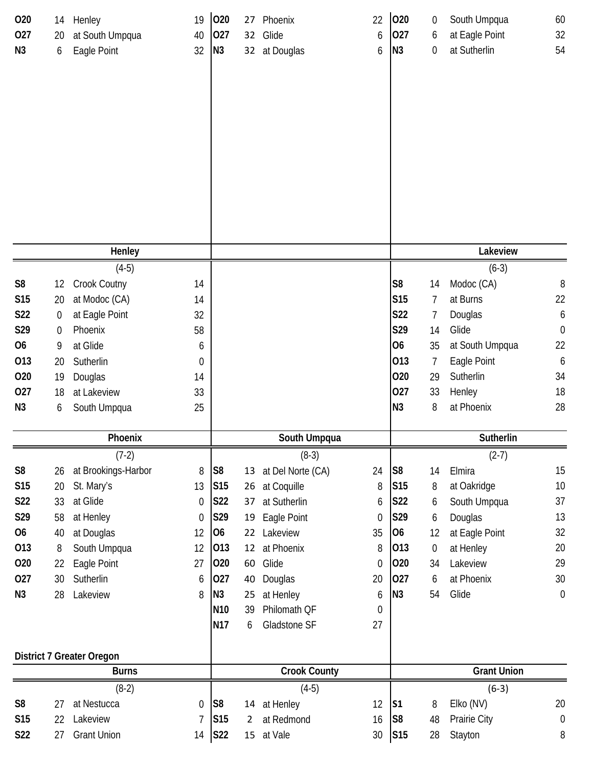| 020            | 14          | Henley                           | 19               | 020             | 27              | Phoenix             | 22               | 020             | 0                | South Umpqua             | 60                    |
|----------------|-------------|----------------------------------|------------------|-----------------|-----------------|---------------------|------------------|-----------------|------------------|--------------------------|-----------------------|
| 027            | 20          | at South Umpqua                  | 40               | 027             | 32              | Glide               | 6                | 027             | 6                | at Eagle Point           | 32                    |
| N3             | 6           | Eagle Point                      | 32               | N3              |                 | 32 at Douglas       | 6                | N3              | 0                | at Sutherlin             | 54                    |
|                |             |                                  |                  |                 |                 |                     |                  |                 |                  |                          |                       |
|                |             |                                  |                  |                 |                 |                     |                  |                 |                  |                          |                       |
|                |             |                                  |                  |                 |                 |                     |                  |                 |                  |                          |                       |
|                |             |                                  |                  |                 |                 |                     |                  |                 |                  |                          |                       |
|                |             |                                  |                  |                 |                 |                     |                  |                 |                  |                          |                       |
|                |             |                                  |                  |                 |                 |                     |                  |                 |                  |                          |                       |
|                |             |                                  |                  |                 |                 |                     |                  |                 |                  |                          |                       |
|                |             |                                  |                  |                 |                 |                     |                  |                 |                  |                          |                       |
|                |             |                                  |                  |                 |                 |                     |                  |                 |                  |                          |                       |
|                |             |                                  |                  |                 |                 |                     |                  |                 |                  |                          |                       |
|                |             |                                  |                  |                 |                 |                     |                  |                 |                  |                          |                       |
|                |             | Henley                           |                  |                 |                 |                     |                  |                 |                  | Lakeview                 |                       |
|                |             |                                  |                  |                 |                 |                     |                  |                 |                  |                          |                       |
| S <sub>8</sub> |             | $(4-5)$                          |                  |                 |                 |                     |                  | S <sub>8</sub>  |                  | $(6-3)$                  |                       |
|                | 12          | Crook Coutny                     | 14               |                 |                 |                     |                  | <b>S15</b>      | 14               | Modoc (CA)<br>at Burns   | 8                     |
| S15<br>S22     | 20          | at Modoc (CA)                    | 14               |                 |                 |                     |                  | S22             | $\overline{7}$   |                          | 22                    |
| S29            | 0           | at Eagle Point<br>Phoenix        | 32               |                 |                 |                     |                  | S29             | 7                | Douglas<br>Glide         | 6<br>$\boldsymbol{0}$ |
|                | $\mathbf 0$ |                                  | 58               |                 |                 |                     |                  | <b>O6</b>       | 14               |                          |                       |
| 06             | 9           | at Glide                         | 6                |                 |                 |                     |                  | 013             | 35               | at South Umpqua          | 22                    |
| 013            | 20          | Sutherlin                        | $\boldsymbol{0}$ |                 |                 |                     |                  | 020             | 7                | Eagle Point<br>Sutherlin | 6                     |
| 020            | 19          | Douglas                          | 14               |                 |                 |                     |                  |                 | 29               |                          | 34                    |
| 027            | 18          | at Lakeview                      | 33               |                 |                 |                     |                  | 027             | 33               | Henley                   | 18                    |
| N <sub>3</sub> | 6           | South Umpqua                     | 25               |                 |                 |                     |                  | N <sub>3</sub>  | 8                | at Phoenix               | 28                    |
|                |             | Phoenix                          |                  |                 |                 | South Umpqua        |                  |                 |                  | Sutherlin                |                       |
|                |             | $(7-2)$                          |                  |                 |                 | $(8-3)$             |                  |                 |                  | $(2-7)$                  |                       |
| S <sub>8</sub> | 26          | at Brookings-Harbor              | 8                | S <sub>8</sub>  | 13              | at Del Norte (CA)   | 24               | S <sub>8</sub>  | 14               | Elmira                   | 15                    |
| <b>S15</b>     | 20          | St. Mary's                       | 13               | <b>S15</b>      | 26              | at Coquille         | 8                | S <sub>15</sub> | 8                | at Oakridge              | 10                    |
| S22            | 33          | at Glide                         | $\mathbf 0$      | S22             | 37              | at Sutherlin        | 6                | <b>S22</b>      | 6                | South Umpqua             | 37                    |
| S29            | 58          | at Henley                        | $\mathbf 0$      | S29             | 19              | Eagle Point         | $\boldsymbol{0}$ | S29             | 6                | Douglas                  | 13                    |
| <b>O6</b>      | 40          | at Douglas                       | 12               | <b>O6</b>       | 22              | Lakeview            | 35               | <b>O6</b>       | 12               | at Eagle Point           | 32                    |
| 013            | 8           | South Umpqua                     | 12               | 013             | 12              | at Phoenix          | 8                | 013             | $\boldsymbol{0}$ | at Henley                | 20                    |
| 020            | 22          | Eagle Point                      | 27               | 020             | 60              | Glide               | $\boldsymbol{0}$ | 020             | 34               | Lakeview                 | 29                    |
| 027            | 30          | Sutherlin                        | 6                | 027             | 40              | Douglas             | 20               | 027             | 6                | at Phoenix               | 30                    |
| N <sub>3</sub> | 28          | Lakeview                         | 8                | N <sub>3</sub>  | 25              | at Henley           | 6                | N <sub>3</sub>  | 54               | Glide                    | $\mathbf 0$           |
|                |             |                                  |                  | N <sub>10</sub> | 39              | Philomath QF        | $\boldsymbol{0}$ |                 |                  |                          |                       |
|                |             |                                  |                  | <b>N17</b>      | 6               | Gladstone SF        | 27               |                 |                  |                          |                       |
|                |             |                                  |                  |                 |                 |                     |                  |                 |                  |                          |                       |
|                |             | <b>District 7 Greater Oregon</b> |                  |                 |                 |                     |                  |                 |                  |                          |                       |
|                |             | <b>Burns</b>                     |                  |                 |                 | <b>Crook County</b> |                  |                 |                  | <b>Grant Union</b>       |                       |
|                |             | $(8-2)$                          |                  |                 |                 | $(4-5)$             |                  |                 |                  | $(6-3)$                  |                       |
| S <sub>8</sub> | 27          | at Nestucca                      | $\mathbf 0$      | S <sub>8</sub>  | 14              | at Henley           | 12               | <b>S1</b>       | 8                | Elko (NV)                | 20                    |
| <b>S15</b>     | 22          | Lakeview                         | $\overline{1}$   | S15             | 2               | at Redmond          | 16               | S <sub>8</sub>  | 48               | Prairie City             | $\boldsymbol{0}$      |
| S22            | 27          | <b>Grant Union</b>               | 14               | <b>S22</b>      | 15 <sub>1</sub> | at Vale             | 30               | <b>S15</b>      | 28               | Stayton                  | 8                     |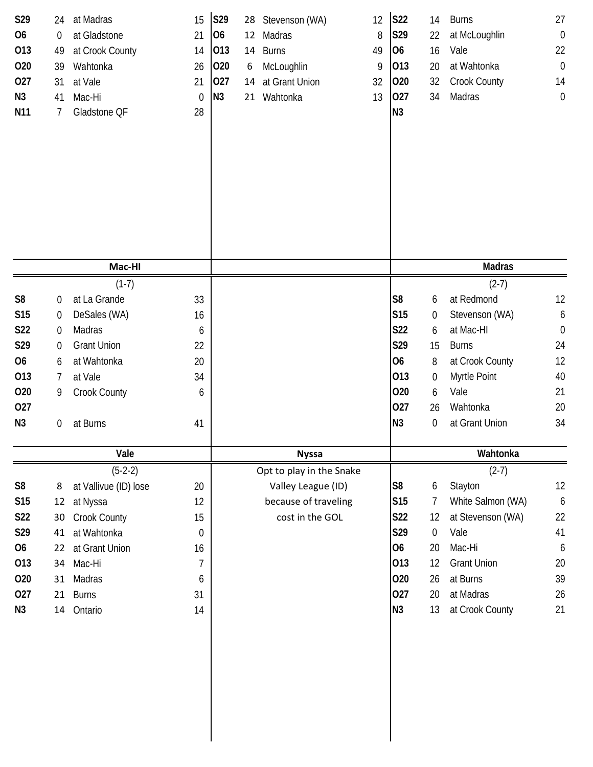| S29<br><b>O6</b><br>013<br>020<br>027<br>N3<br>N11 | 24<br>$\boldsymbol{0}$<br>49<br>39<br>31<br>41<br>7 | at Madras<br>at Gladstone<br>at Crook County<br>Wahtonka<br>at Vale<br>Mac-Hi<br>Gladstone QF | 15<br>21<br>14<br>26<br>21<br>$\boldsymbol{0}$<br>28 | S29<br>O <sub>6</sub><br>013<br>020<br>027<br>N3 | 12<br>14<br>6<br>14 | 28 Stevenson (WA)<br>Madras<br><b>Burns</b><br>McLoughlin<br>at Grant Union<br>21 Wahtonka | 12<br>8<br>49<br>9<br>32<br>13 | <b>S22</b><br>S29<br>06<br>013<br>020<br>027<br>N3 | 14<br>22<br>16<br>20<br>32<br>34 | <b>Burns</b><br>at McLoughlin<br>Vale<br>at Wahtonka<br>Crook County<br>Madras | 27<br>$\boldsymbol{0}$<br>22<br>$\boldsymbol{0}$<br>14<br>$\boldsymbol{0}$ |  |
|----------------------------------------------------|-----------------------------------------------------|-----------------------------------------------------------------------------------------------|------------------------------------------------------|--------------------------------------------------|---------------------|--------------------------------------------------------------------------------------------|--------------------------------|----------------------------------------------------|----------------------------------|--------------------------------------------------------------------------------|----------------------------------------------------------------------------|--|
|                                                    |                                                     | Mac-HI                                                                                        |                                                      |                                                  |                     |                                                                                            |                                |                                                    |                                  | <b>Madras</b>                                                                  |                                                                            |  |
|                                                    |                                                     | $(1-7)$                                                                                       |                                                      |                                                  |                     |                                                                                            |                                |                                                    |                                  | $(2-7)$                                                                        |                                                                            |  |
| S <sub>8</sub>                                     | $\boldsymbol{0}$                                    | at La Grande                                                                                  | 33                                                   |                                                  |                     |                                                                                            |                                | S <sub>8</sub>                                     | 6                                | at Redmond                                                                     | 12                                                                         |  |
| S15                                                | $\boldsymbol{0}$                                    | DeSales (WA)                                                                                  | 16                                                   |                                                  |                     |                                                                                            |                                | S15                                                | 0                                | Stevenson (WA)                                                                 | $\boldsymbol{6}$                                                           |  |
| S22                                                | $\overline{0}$                                      | Madras                                                                                        | 6                                                    |                                                  |                     |                                                                                            |                                | <b>S22</b>                                         | 6                                | at Mac-HI                                                                      | $\boldsymbol{0}$                                                           |  |
| S29                                                | $\boldsymbol{0}$                                    | <b>Grant Union</b>                                                                            | 22                                                   |                                                  |                     |                                                                                            |                                | S29                                                | 15                               | <b>Burns</b>                                                                   | 24                                                                         |  |
| <b>O6</b>                                          | 6                                                   | at Wahtonka                                                                                   | 20                                                   |                                                  |                     |                                                                                            |                                | <b>O6</b>                                          | 8                                | at Crook County                                                                | 12                                                                         |  |
| 013                                                | 7                                                   | at Vale                                                                                       | 34                                                   |                                                  |                     |                                                                                            |                                | 013                                                | 0                                | Myrtle Point                                                                   | 40                                                                         |  |
| 020                                                | 9                                                   | Crook County                                                                                  | 6                                                    |                                                  |                     |                                                                                            |                                | 020                                                | 6                                | Vale                                                                           | 21                                                                         |  |
| 027                                                |                                                     |                                                                                               |                                                      |                                                  |                     |                                                                                            |                                | 027                                                | 26                               | Wahtonka                                                                       | 20                                                                         |  |
| N3                                                 | 0                                                   | at Burns                                                                                      | 41                                                   |                                                  |                     |                                                                                            |                                | N3                                                 | 0                                | at Grant Union                                                                 | 34                                                                         |  |
|                                                    |                                                     | Vale                                                                                          |                                                      | <b>Nyssa</b>                                     |                     |                                                                                            |                                |                                                    | Wahtonka                         |                                                                                |                                                                            |  |
|                                                    |                                                     | $(5-2-2)$                                                                                     |                                                      |                                                  |                     | Opt to play in the Snake                                                                   |                                |                                                    |                                  | $(2-7)$                                                                        |                                                                            |  |
| S <sub>8</sub>                                     | 8                                                   | at Vallivue (ID) lose                                                                         | 20                                                   |                                                  |                     | Valley League (ID)                                                                         |                                | S <sub>8</sub>                                     | 6                                | Stayton                                                                        | 12                                                                         |  |
| S15                                                | 12                                                  | at Nyssa                                                                                      | 12                                                   |                                                  |                     | because of traveling                                                                       |                                | S15                                                | 7                                | White Salmon (WA)                                                              | $\boldsymbol{6}$                                                           |  |
| S22                                                | 30                                                  | Crook County                                                                                  | 15                                                   |                                                  |                     | cost in the GOL                                                                            |                                | S22                                                | 12                               | at Stevenson (WA)                                                              | 22                                                                         |  |
| S29                                                | 41                                                  | at Wahtonka                                                                                   | 0                                                    |                                                  |                     |                                                                                            |                                | S29                                                | $\boldsymbol{0}$                 | Vale                                                                           | 41                                                                         |  |
| 06                                                 | 22                                                  | at Grant Union                                                                                | 16                                                   |                                                  |                     |                                                                                            |                                | 06                                                 | 20                               | Mac-Hi                                                                         | 6                                                                          |  |
| 013                                                | 34                                                  | Mac-Hi                                                                                        | $\overline{7}$                                       |                                                  |                     |                                                                                            |                                | 013                                                | 12                               | <b>Grant Union</b>                                                             | 20                                                                         |  |
| 020<br>027                                         | 31<br>21                                            | Madras<br><b>Burns</b>                                                                        | 6<br>31                                              |                                                  |                     |                                                                                            |                                | 020<br>027                                         | 26<br>20                         | at Burns<br>at Madras                                                          | 39<br>26                                                                   |  |
|                                                    |                                                     |                                                                                               |                                                      |                                                  |                     |                                                                                            |                                | N3                                                 |                                  |                                                                                | 21                                                                         |  |
| N <sub>3</sub>                                     | 14                                                  | Ontario                                                                                       | 14                                                   |                                                  |                     |                                                                                            |                                |                                                    | 13                               | at Crook County                                                                |                                                                            |  |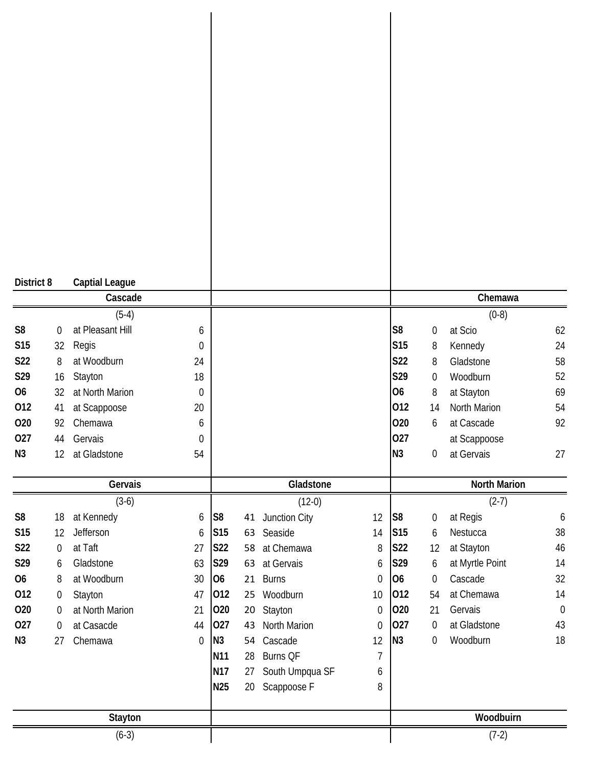| District 8     |                  | <b>Captial League</b>       |                       |                 |    |                  |                  |                 |                  |                     |             |
|----------------|------------------|-----------------------------|-----------------------|-----------------|----|------------------|------------------|-----------------|------------------|---------------------|-------------|
|                |                  | Cascade                     |                       |                 |    |                  |                  |                 |                  | Chemawa             |             |
| S <sub>8</sub> | 0                | $(5-4)$<br>at Pleasant Hill |                       |                 |    |                  |                  | S <sub>8</sub>  | $\boldsymbol{0}$ | $(0-8)$<br>at Scio  | 62          |
| S15            | 32               | Regis                       | 6<br>$\boldsymbol{0}$ |                 |    |                  |                  | <b>S15</b>      | 8                | Kennedy             | 24          |
| S22            | 8                | at Woodburn                 | 24                    |                 |    |                  |                  | S22             | 8                | Gladstone           | 58          |
| S29            | 16               | Stayton                     | 18                    |                 |    |                  |                  | S29             | 0                | Woodburn            | 52          |
| <b>O6</b>      | 32               | at North Marion             | $\boldsymbol{0}$      |                 |    |                  |                  | 06              | 8                | at Stayton          | 69          |
| 012            | 41               | at Scappoose                | 20                    |                 |    |                  |                  | 012             | 14               | North Marion        | 54          |
| 020            | 92               | Chemawa                     | 6                     |                 |    |                  |                  | 020             | 6                | at Cascade          | 92          |
| 027            | 44               | Gervais                     | $\boldsymbol{0}$      |                 |    |                  |                  | 027             |                  | at Scappoose        |             |
| N <sub>3</sub> | 12               | at Gladstone                | 54                    |                 |    |                  |                  | N3              | 0                | at Gervais          | 27          |
|                |                  | Gervais                     |                       |                 |    | Gladstone        |                  |                 |                  | <b>North Marion</b> |             |
|                |                  | $(3-6)$                     |                       |                 |    | $(12-0)$         |                  |                 |                  | $(2-7)$             |             |
| S <sub>8</sub> | 18               | at Kennedy                  | 6                     | S <sub>8</sub>  |    | 41 Junction City | 12               | S <sub>8</sub>  | $\boldsymbol{0}$ | at Regis            | 6           |
| <b>S15</b>     | 12               | Jefferson                   | 6                     | S15             |    | 63 Seaside       | 14               | S <sub>15</sub> | 6                | Nestucca            | 38          |
| S22            | $\mathbf 0$      | at Taft                     | 27                    | <b>S22</b>      | 58 | at Chemawa       | 8                | <b>S22</b>      | 12               | at Stayton          | 46          |
| S29            | 6                | Gladstone                   | 63                    | S29             |    | 63 at Gervais    | 6                | S29             | 6                | at Myrtle Point     | 14          |
| <b>O6</b>      | 8                | at Woodburn                 | 30                    | 06              |    | 21 Burns         | $\boldsymbol{0}$ | 06              | 0                | Cascade             | 32          |
| 012            | $\boldsymbol{0}$ | Stayton                     | 47                    | 012             |    | 25 Woodburn      | 10               | 012             | 54               | at Chemawa          | 14          |
| 020            | $\boldsymbol{0}$ | at North Marion             | 21                    | 020             | 20 | Stayton          | 0                | 020             | 21               | Gervais             | $\mathbf 0$ |
| 027            | $\boldsymbol{0}$ | at Casacde                  | 44                    | 027             | 43 | North Marion     | $\boldsymbol{0}$ | 027             | 0                | at Gladstone        | 43          |
| N <sub>3</sub> | 27               | Chemawa                     | $\boldsymbol{0}$      | N3              | 54 | Cascade          | 12               | N3              | $\boldsymbol{0}$ | Woodburn            | 18          |
|                |                  |                             |                       | N <sub>11</sub> | 28 | Burns QF         | 7                |                 |                  |                     |             |
|                |                  |                             |                       | <b>N17</b>      | 27 | South Umpqua SF  | 6                |                 |                  |                     |             |
|                |                  |                             |                       | <b>N25</b>      | 20 | Scappoose F      | 8                |                 |                  |                     |             |
|                |                  | Stayton                     |                       |                 |    |                  |                  |                 |                  | Woodbuirn           |             |
|                |                  |                             |                       |                 |    |                  |                  |                 |                  |                     |             |
|                |                  | $(6-3)$                     |                       |                 |    |                  |                  |                 |                  | $(7-2)$             |             |